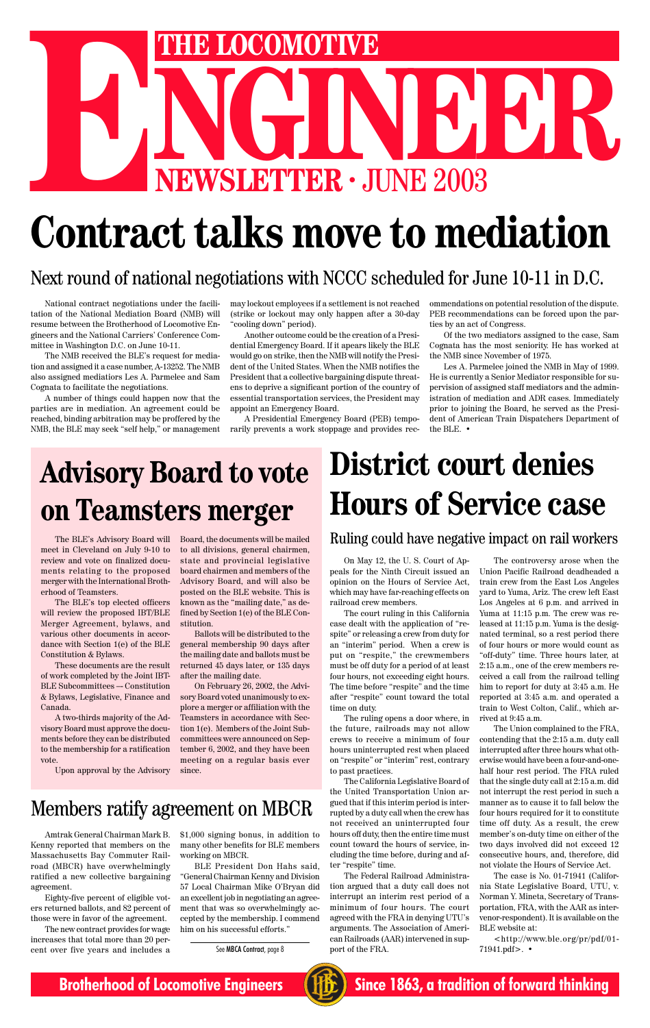

# **NEWSLETTER . JUNE 2003 ENEXAGE AND READ THE LOCOMOTIVE**

# **Contract talks move to mediation**

#### Next round of national negotiations with NCCC scheduled for June 10-11 in D.C.

National contract negotiations under the facilitation of the National Mediation Board (NMB) will resume between the Brotherhood of Locomotive Engineers and the National Carriers' Conference Committee in Washington D.C. on June 10-11.

The NMB received the BLE's request for mediation and assigned it a case number, A-13252. The NMB also assigned mediatiors Les A. Parmelee and Sam Cognata to facilitate the negotiations.

A number of things could happen now that the parties are in mediation. An agreement could be reached, binding arbitration may be proffered by the NMB, the BLE may seek "self help," or management may lockout employees if a settlement is not reached (strike or lockout may only happen after a 30-day "cooling down" period).

Another outcome could be the creation of a Presidential Emergency Board. If it apears likely the BLE would go on strike, then the NMB will notify the President of the United States. When the NMB notifies the President that a collective bargaining dispute threatens to deprive a significant portion of the country of essential transportation services, the President may appoint an Emergency Board.

A Presidential Emergency Board (PEB) temporarily prevents a work stoppage and provides recommendations on potential resolution of the dispute. PEB recommendations can be forced upon the parties by an act of Congress.

Of the two mediators assigned to the case, Sam Cognata has the most seniority. He has worked at the NMB since November of 1975.

Les A. Parmelee joined the NMB in May of 1999. He is currently a Senior Mediator responsible for supervision of assigned staff mediators and the administration of mediation and ADR cases. Immediately prior to joining the Board, he served as the President of American Train Dispatchers Department of the BLE. •

## **District court denies Hours of Service case**

Ruling could have negative impact on rail workers

On May 12, the U. S. Court of Appeals for the Ninth Circuit issued an opinion on the Hours of Service Act, which may have far-reaching effects on railroad crew members.

The court ruling in this California case dealt with the application of "respite" or releasing a crew from duty for an "interim" period. When a crew is put on "respite," the crewmembers must be off duty for a period of at least four hours, not exceeding eight hours. The time before "respite" and the time after "respite" count toward the total time on duty.

The ruling opens a door where, in the future, railroads may not allow crews to receive a minimum of four hours uninterrupted rest when placed on "respite" or "interim" rest, contrary to past practices. The California Legislative Board of the United Transportation Union argued that if this interim period is interrupted by a duty call when the crew has not received an uninterrupted four hours off duty, then the entire time must count toward the hours of service, including the time before, during and after "respite" time. The Federal Railroad Administration argued that a duty call does not interrupt an interim rest period of a minimum of four hours. The court agreed with the FRA in denying UTU's arguments. The Association of American Railroads (AAR) intervened in support of the FRA.

The controversy arose when the Union Pacific Railroad deadheaded a train crew from the East Los Angeles yard to Yuma, Ariz. The crew left East Los Angeles at 6 p.m. and arrived in Yuma at 11:15 p.m. The crew was released at 11:15 p.m. Yuma is the designated terminal, so a rest period there of four hours or more would count as "off-duty" time. Three hours later, at 2:15 a.m., one of the crew members received a call from the railroad telling him to report for duty at 3:45 a.m. He reported at 3:45 a.m. and operated a train to West Colton, Calif., which arrived at 9:45 a.m.

The Union complained to the FRA, contending that the 2:15 a.m. duty call interrupted after three hours what oth-

erwise would have been a four-and-onehalf hour rest period. The FRA ruled that the single duty call at 2:15 a.m. did not interrupt the rest period in such a manner as to cause it to fall below the four hours required for it to constitute time off duty. As a result, the crew member's on-duty time on either of the two days involved did not exceed 12 consecutive hours, and, therefore, did not violate the Hours of Service Act.

The case is No. 01-71941 (California State Legislative Board, UTU, v. Norman Y. Mineta, Secretary of Transportation, FRA, with the AAR as intervenor-respondent). It is available on the BLE website at:

<http://www.ble.org/pr/pdf/01- 71941.pdf>. •

The BLE's Advisory Board will meet in Cleveland on July 9-10 to review and vote on finalized documents relating to the proposed merger with the International Brotherhood of Teamsters.

The BLE's top elected officers will review the proposed IBT/BLE Merger Agreement, bylaws, and various other documents in accordance with Section 1(e) of the BLE Constitution & Bylaws.

These documents are the result of work completed by the Joint IBT-BLE Subcommittees –- Constitution & Bylaws, Legislative, Finance and Canada.

A two-thirds majority of the Advisory Board must approve the documents before they can be distributed to the membership for a ratification

#### vote.

Board, the documents will be mailed to all divisions, general chairmen, state and provincial legislative board chairmen and members of the Advisory Board, and will also be posted on the BLE website. This is known as the "mailing date," as defined by Section 1(e) of the BLE Constitution.

Upon approval by the Advisory meeting on a regular basis ever since.

Ballots will be distributed to the general membership 90 days after the mailing date and ballots must be returned 45 days later, or 135 days after the mailing date.

On February 26, 2002, the Advisory Board voted unanimously to explore a merger or affiliation with the Teamsters in accordance with Section 1(e). Members of the Joint Subcommittees were announced on September 6, 2002, and they have been

## **Advisory Board to vote on Teamsters merger**

#### Members ratify agreement on MBCR

Amtrak General Chairman Mark B. Kenny reported that members on the Massachusetts Bay Commuter Railroad (MBCR) have overwhelmingly ratified a new collective bargaining agreement.

Eighty-five percent of eligible voters returned ballots, and 82 percent of those were in favor of the agreement.

The new contract provides for wage increases that total more than 20 percent over five years and includes a \$1,000 signing bonus, in addition to many other benefits for BLE members working on MBCR.

BLE President Don Hahs said, "General Chairman Kenny and Division 57 Local Chairman Mike O'Bryan did an excellent job in negotiating an agreement that was so overwhelmingly accepted by the membership. I commend him on his successful efforts."

See MBCA Contract, page 8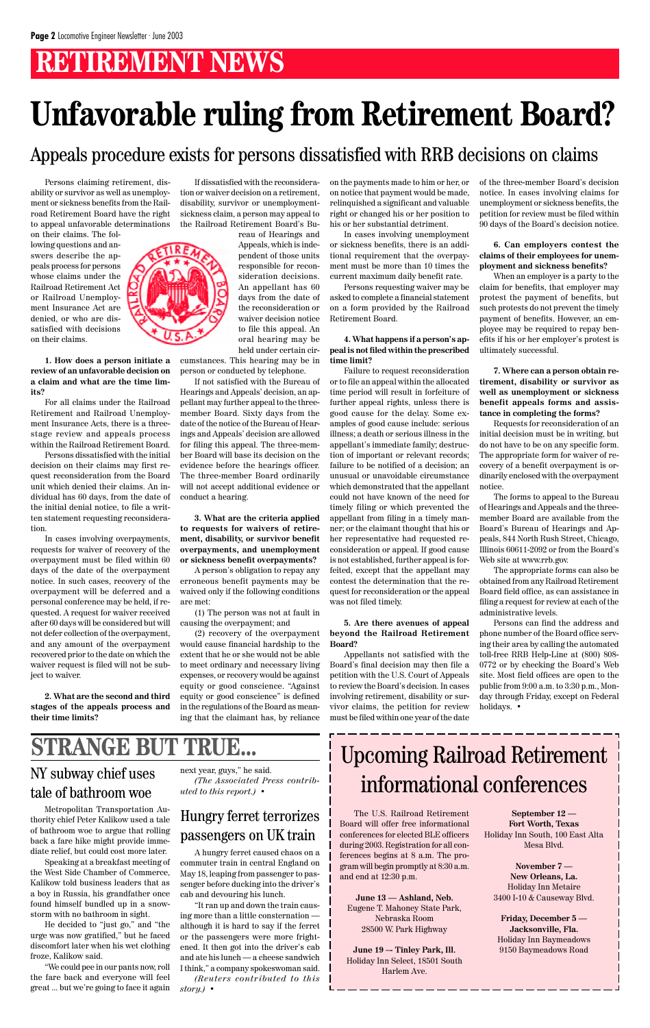## **RETIREMENT NEWS**

Persons claiming retirement, disability or survivor as well as unemployment or sickness benefits from the Railroad Retirement Board have the right to appeal unfavorable determinations

on their claims. The following questions and answers describe the appeals process for persons whose claims under the Railroad Retirement Act or Railroad Unemployment Insurance Act are denied, or who are dissatisfied with decisions on their claims.

**1. How does a person initiate a review of an unfavorable decision on a claim and what are the time limits?**

For all claims under the Railroad Retirement and Railroad Unemployment Insurance Acts, there is a threestage review and appeals process within the Railroad Retirement Board.

Persons dissatisfied with the initial decision on their claims may first request reconsideration from the Board unit which denied their claims. An individual has 60 days, from the date of the initial denial notice, to file a written statement requesting reconsideration.

In cases involving overpayments, requests for waiver of recovery of the overpayment must be filed within 60 days of the date of the overpayment notice. In such cases, recovery of the overpayment will be deferred and a personal conference may be held, if requested. A request for waiver received after 60 days will be considered but will not defer collection of the overpayment, and any amount of the overpayment recovered prior to the date on which the waiver request is filed will not be subject to waiver.

**2. What are the second and third stages of the appeals process and their time limits?**

**STRANGE BUT** 

If dissatisfied with the reconsideration or waiver decision on a retirement, disability, survivor or unemploymentsickness claim, a person may appeal to the Railroad Retirement Board's Bu-

> reau of Hearings and Appeals, which is independent of those units responsible for reconsideration decisions. An appellant has 60 days from the date of the reconsideration or waiver decision notice to file this appeal. An oral hearing may be held under certain cir-

cumstances. This hearing may be in person or conducted by telephone.

If not satisfied with the Bureau of Hearings and Appeals' decision, an appellant may further appeal to the threemember Board. Sixty days from the date of the notice of the Bureau of Hearings and Appeals' decision are allowed for filing this appeal. The three-member Board will base its decision on the evidence before the hearings officer. The three-member Board ordinarily will not accept additional evidence or conduct a hearing.

**3. What are the criteria applied to requests for waivers of retirement, disability, or survivor benefit overpayments, and unemployment or sickness benefit overpayments?**

A person's obligation to repay any erroneous benefit payments may be waived only if the following conditions are met:

(1) The person was not at fault in causing the overpayment; and

(2) recovery of the overpayment would cause financial hardship to the extent that he or she would not be able to meet ordinary and necessary living expenses, or recovery would be against equity or good conscience. "Against equity or good conscience" is defined in the regulations of the Board as meaning that the claimant has, by reliance

on the payments made to him or her, or on notice that payment would be made, relinquished a significant and valuable right or changed his or her position to his or her substantial detriment.

In cases involving unemployment or sickness benefits, there is an additional requirement that the overpayment must be more than 10 times the current maximum daily benefit rate.

Persons requesting waiver may be asked to complete a financial statement on a form provided by the Railroad Retirement Board.

**4. What happens if a person's appeal is not filed within the prescribed time limit?**

Failure to request reconsideration or to file an appeal within the allocated time period will result in forfeiture of further appeal rights, unless there is good cause for the delay. Some examples of good cause include: serious illness; a death or serious illness in the appellant's immediate family; destruction of important or relevant records; failure to be notified of a decision; an unusual or unavoidable circumstance which demonstrated that the appellant could not have known of the need for timely filing or which prevented the appellant from filing in a timely manner; or the claimant thought that his or her representative had requested reconsideration or appeal. If good cause is not established, further appeal is forfeited, except that the appellant may contest the determination that the request for reconsideration or the appeal was not filed timely.

#### **5. Are there avenues of appeal beyond the Railroad Retirement Board?**

Appellants not satisfied with the Board's final decision may then file a petition with the U.S. Court of Appeals to review the Board's decision. In cases involving retirement, disability or survivor claims, the petition for review must be filed within one year of the date of the three-member Board's decision notice. In cases involving claims for unemployment or sickness benefits, the petition for review must be filed within 90 days of the Board's decision notice.

**6. Can employers contest the claims of their employees for unemployment and sickness benefits?**

When an employer is a party to the claim for benefits, that employer may protest the payment of benefits, but such protests do not prevent the timely payment of benefits. However, an employee may be required to repay benefits if his or her employer's protest is ultimately successful.

**7. Where can a person obtain retirement, disability or survivor as well as unemployment or sickness benefit appeals forms and assistance in completing the forms?**

Requests for reconsideration of an initial decision must be in writing, but do not have to be on any specific form. The appropriate form for waiver of recovery of a benefit overpayment is ordinarily enclosed with the overpayment notice.

The forms to appeal to the Bureau of Hearings and Appeals and the threemember Board are available from the Board's Bureau of Hearings and Appeals, 844 North Rush Street, Chicago, Illinois 60611-2092 or from the Board's Web site at www.rrb.gov.

The appropriate forms can also be obtained from any Railroad Retirement Board field office, as can assistance in filing a request for review at each of the administrative levels.

Persons can find the address and phone number of the Board office serving their area by calling the automated toll-free RRB Help-Line at (800) 808- 0772 or by checking the Board's Web site. Most field offices are open to the public from 9:00 a.m. to 3:30 p.m., Monday through Friday, except on Federal holidays. •



# **Unfavorable ruling from Retirement Board?**

#### Upcoming Railroad Retirement informational conferences

The U.S. Railroad Retirement Board will offer free informational conferences for elected BLE officers during 2003. Registration for all conferences begins at 8 a.m. The program will begin promptly at 8:30 a.m. and end at 12:30 p.m.

**June 13 — Ashland, Neb.** Eugene T. Mahoney State Park, Nebraska Room 28500 W. Park Highway

**June 19 –- Tinley Park, Ill.** Holiday Inn Select, 18501 South Harlem Ave.

**September 12 — Fort Worth, Texas** Holiday Inn South, 100 East Alta Mesa Blvd.

**November 7 — New Orleans, La.** Holiday Inn Metaire 3400 I-10 & Causeway Blvd.

**Friday, December 5 — Jacksonville, Fla.** Holiday Inn Baymeadows 9150 Baymeadows Road

#### Appeals procedure exists for persons dissatisfied with RRB decisions on claims

#### NY subway chief uses tale of bathroom woe

Metropolitan Transportation Authority chief Peter Kalikow used a tale of bathroom woe to argue that rolling back a fare hike might provide immediate relief, but could cost more later.

Speaking at a breakfast meeting of the West Side Chamber of Commerce, Kalikow told business leaders that as a boy in Russia, his grandfather once found himself bundled up in a snowstorm with no bathroom in sight.

He decided to "just go," and "the urge was now gratified," but he faced discomfort later when his wet clothing froze, Kalikow said.

"We could pee in our pants now, roll the fare back and everyone will feel great ... but we're going to face it again next year, guys," he said. *(The Associated Press contributed to this report.)* •

#### Hungry ferret terrorizes passengers on UK train

A hungry ferret caused chaos on a commuter train in central England on May 18, leaping from passenger to passenger before ducking into the driver's cab and devouring his lunch.

"It ran up and down the train causing more than a little consternation although it is hard to say if the ferret or the passengers were more frightened. It then got into the driver's cab and ate his lunch — a cheese sandwich I think," a company spokeswoman said. *(Reuters contributed to this story.)* •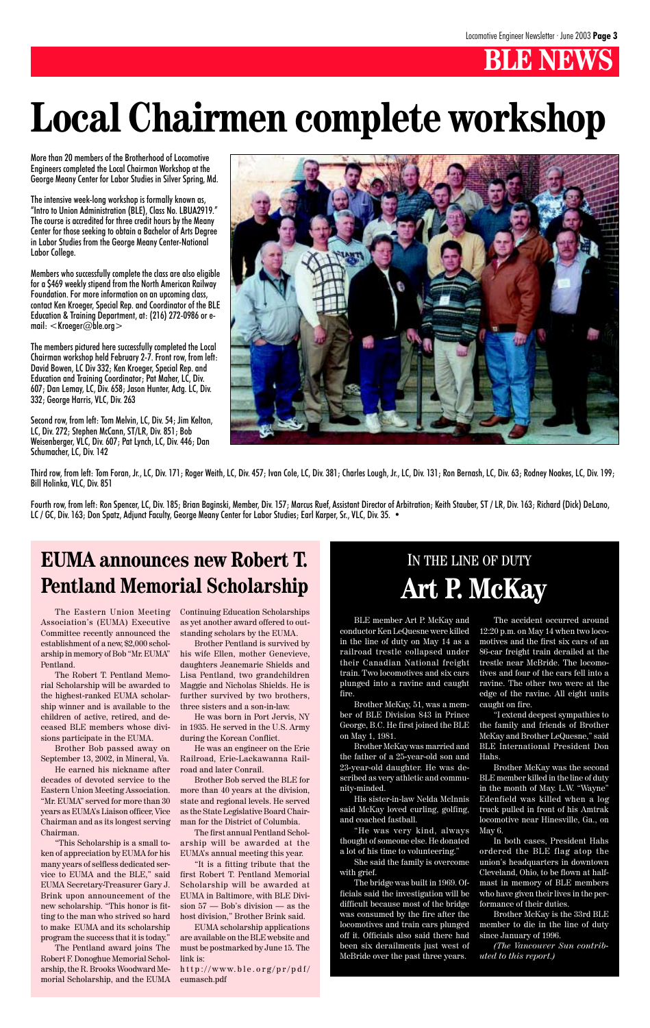# **Local Chairmen complete workshop**

More than 20 members of the Brotherhood of Locomotive Engineers completed the Local Chairman Workshop at the George Meany Center for Labor Studies in Silver Spring, Md.

The intensive week-long workshop is formally known as, "Intro to Union Administration (BLE), Class No. LBUA2919." The course is accredited for three credit hours by the Meany Center for those seeking to obtain a Bachelor of Arts Degree in Labor Studies from the George Meany Center-National Labor College.

Members who successfully complete the class are also eligible for a \$469 weekly stipend from the North American Railway Foundation. For more information on an upcoming class, contact Ken Kroeger, Special Rep. and Coordinator of the BLE Education & Training Department, at: (216) 272-0986 or email: <Kroeger@ble.org>

Fourth row, from left: Ron Spencer, LC, Div. 185; Brian Baginski, Member, Div. 157; Marcus Ruef, Assistant Director of Arbitration; Keith Stauber, ST / LR, Div. 163; Richard (Dick) DeLano, LC / GC, Div. 163; Don Spatz, Adjunct Faculty, George Meany Center for Labor Studies; Earl Karper, Sr., VLC, Div. 35. •

The members pictured here successfully completed the Local Chairman workshop held February 2-7. Front row, from left: David Bowen, LC Div 332; Ken Kroeger, Special Rep. and Education and Training Coordinator; Pat Maher, LC, Div. 607; Dan Lemay, LC, Div. 658; Jason Hunter, Actg. LC, Div. 332; George Harris, VLC, Div. 263

Second row, from left: Tom Melvin, LC, Div. 54; Jim Kelton, LC, Div. 272; Stephen McCann, ST/LR, Div. 851; Bob Weisenberger, VLC, Div. 607; Pat Lynch, LC, Div. 446; Dan Schumacher, LC, Div. 142



Third row, from left: Tom Foran, Jr., LC, Div. 171; Roger Weith, LC, Div. 457; Ivan Cole, LC, Div. 381; Charles Lough, Jr., LC, Div. 131; Ron Bernash, LC, Div. 63; Rodney Noakes, LC, Div. 199; Bill Holinka, VLC, Div. 851

The Eastern Union Meeting Association's (EUMA) Executive Committee recently announced the establishment of a new, \$2,000 scholarship in memory of Bob "Mr. EUMA" Pentland.

The Robert T. Pentland Memorial Scholarship will be awarded to the highest-ranked EUMA scholarship winner and is available to the children of active, retired, and deceased BLE members whose divisions participate in the EUMA.

Brother Bob passed away on

September 13, 2002, in Mineral, Va.

He earned his nickname after decades of devoted service to the Eastern Union Meeting Association. "Mr. EUMA" served for more than 30 years as EUMA's Liaison officer, Vice Chairman and as its longest serving Chairman.

"This Scholarship is a small token of appreciation by EUMA for his many years of selfless dedicated service to EUMA and the BLE," said EUMA Secretary-Treasurer Gary J. Brink upon announcement of the new scholarship. "This honor is fitting to the man who strived so hard to make EUMA and its scholarship program the success that it is today."

The Pentland award joins The Robert F. Donoghue Memorial Scholarship, the R. Brooks Woodward Memorial Scholarship, and the EUMA Continuing Education Scholarships as yet another award offered to outstanding scholars by the EUMA.

Brother Pentland is survived by his wife Ellen, mother Genevieve, daughters Jeanemarie Shields and Lisa Pentland, two grandchildren Maggie and Nicholas Shields. He is further survived by two brothers, three sisters and a son-in-law.

He was born in Port Jervis, NY in 1935. He served in the U.S. Army during the Korean Conflict.

He was an engineer on the Erie

Railroad, Erie-Lackawanna Railroad and later Conrail.

Brother Bob served the BLE for more than 40 years at the division, state and regional levels. He served as the State Legislative Board Chairman for the District of Columbia.

The first annual Pentland Scholarship will be awarded at the EUMA's annual meeting this year.

"It is a fitting tribute that the first Robert T. Pentland Memorial Scholarship will be awarded at EUMA in Baltimore, with BLE Division 57 — Bob's division — as the host division," Brother Brink said.

EUMA scholarship applications are available on the BLE website and must be postmarked by June 15. The link is:

http://www.ble.org/pr/pdf/ eumasch.pdf

#### **EUMA announces new Robert T. Pentland Memorial Scholarship**

#### IN THE LINE OF DUTY **Art P. McKay**

BLE member Art P. McKay and conductor Ken LeQuesne were killed in the line of duty on May 14 as a railroad trestle collapsed under their Canadian National freight train. Two locomotives and six cars plunged into a ravine and caught fire.

Brother McKay, 51, was a member of BLE Division 843 in Prince George, B.C. He first joined the BLE on May 1, 1981.

Brother McKay was married and the father of a 25-year-old son and 23-year-old daughter. He was described as very athletic and community-minded.

His sister-in-law Nelda McInnis said McKay loved curling, golfing, and coached fastball.

"He was very kind, always thought of someone else. He donated a lot of his time to volunteering."

She said the family is overcome with grief.

The bridge was built in 1969. Officials said the investigation will be difficult because most of the bridge was consumed by the fire after the locomotives and train cars plunged off it. Officials also said there had been six derailments just west of McBride over the past three years.

The accident occurred around 12:20 p.m. on May 14 when two locomotives and the first six cars of an 86-car freight train derailed at the trestle near McBride. The locomotives and four of the cars fell into a ravine. The other two were at the edge of the ravine. All eight units caught on fire.

"I extend deepest sympathies to the family and friends of Brother McKay and Brother LeQuesne," said BLE International President Don

Hahs.

Brother McKay was the second BLE member killed in the line of duty in the month of May. L.W. "Wayne" Edenfield was killed when a log truck pulled in front of his Amtrak locomotive near Hinesville, Ga., on May 6.

In both cases, President Hahs ordered the BLE flag atop the union's headquarters in downtown Cleveland, Ohio, to be flown at halfmast in memory of BLE members who have given their lives in the performance of their duties.

Brother McKay is the 33rd BLE member to die in the line of duty since January of 1996.

*(The Vancouver Sun contributed to this report.)*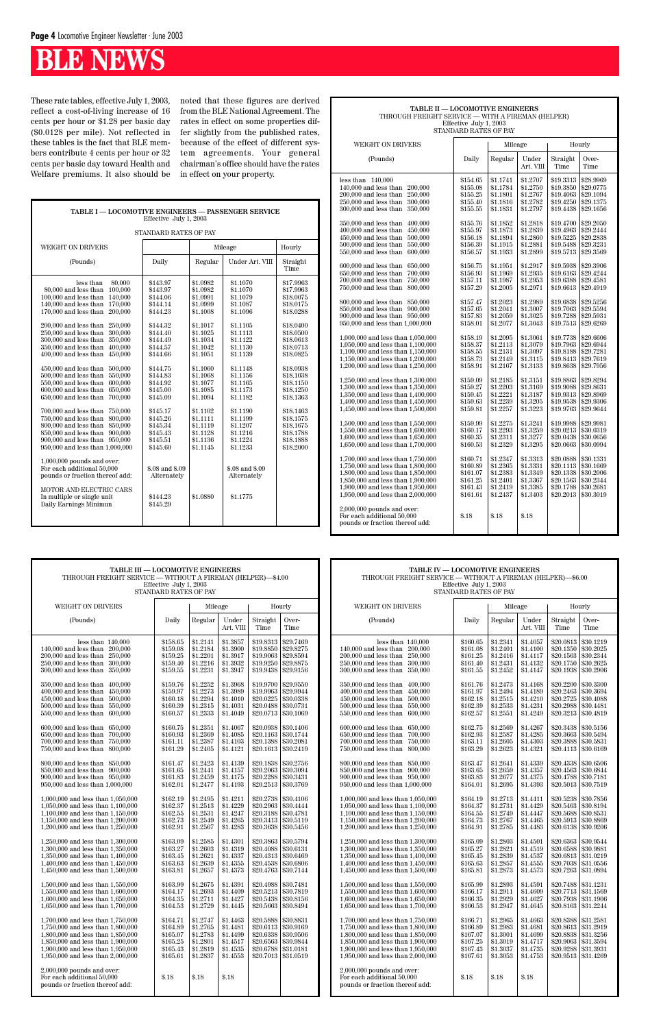| TABLE I - LOCOMOTIVE ENGINEERS - PASSENGER SERVICE<br>Effective July 1, 2003                                                                                                                                                                                                                                                                                                                                                                                                                                                                                                                                                                                                                                                                                                                                                                                                                                                                    |                                                                                                                                                                                                                                                                                                                    |                                                                                                                                                                                                                                                                      |                                                                                                                                                                                                                                                                                                        |                                                                                                                                                                                                                                                                               |  |  |  |  |  |  |
|-------------------------------------------------------------------------------------------------------------------------------------------------------------------------------------------------------------------------------------------------------------------------------------------------------------------------------------------------------------------------------------------------------------------------------------------------------------------------------------------------------------------------------------------------------------------------------------------------------------------------------------------------------------------------------------------------------------------------------------------------------------------------------------------------------------------------------------------------------------------------------------------------------------------------------------------------|--------------------------------------------------------------------------------------------------------------------------------------------------------------------------------------------------------------------------------------------------------------------------------------------------------------------|----------------------------------------------------------------------------------------------------------------------------------------------------------------------------------------------------------------------------------------------------------------------|--------------------------------------------------------------------------------------------------------------------------------------------------------------------------------------------------------------------------------------------------------------------------------------------------------|-------------------------------------------------------------------------------------------------------------------------------------------------------------------------------------------------------------------------------------------------------------------------------|--|--|--|--|--|--|
| STANDARD RATES OF PAY                                                                                                                                                                                                                                                                                                                                                                                                                                                                                                                                                                                                                                                                                                                                                                                                                                                                                                                           |                                                                                                                                                                                                                                                                                                                    |                                                                                                                                                                                                                                                                      |                                                                                                                                                                                                                                                                                                        |                                                                                                                                                                                                                                                                               |  |  |  |  |  |  |
| <b>WEIGHT ON DRIVERS</b>                                                                                                                                                                                                                                                                                                                                                                                                                                                                                                                                                                                                                                                                                                                                                                                                                                                                                                                        |                                                                                                                                                                                                                                                                                                                    |                                                                                                                                                                                                                                                                      | Mileage                                                                                                                                                                                                                                                                                                | Hourly                                                                                                                                                                                                                                                                        |  |  |  |  |  |  |
| (Pounds)                                                                                                                                                                                                                                                                                                                                                                                                                                                                                                                                                                                                                                                                                                                                                                                                                                                                                                                                        | Daily                                                                                                                                                                                                                                                                                                              | Regular                                                                                                                                                                                                                                                              | Under Art. VIII                                                                                                                                                                                                                                                                                        | Straight<br>Time                                                                                                                                                                                                                                                              |  |  |  |  |  |  |
| 80,000<br>less than<br>80,000 and less than<br>100.000<br>140,000<br>100,000 and less than<br>170,000<br>140,000 and less than<br>170,000 and less than<br>200,000<br>200,000 and less than<br>250,000<br>300,000<br>250,000 and less than<br>300,000 and less than<br>350,000<br>350,000 and less than<br>400.000<br>400,000 and less than<br>450,000<br>450,000 and less than<br>500,000<br>500,000 and less than<br>550,000<br>550,000 and less than<br>600,000<br>600,000 and less than<br>650,000<br>650,000 and less than<br>700,000<br>700,000 and less than<br>750,000<br>750,000 and less than<br>800,000<br>800,000 and less than<br>850,000<br>850,000 and less than 900,000<br>900,000 and less than 950,000<br>950,000 and less than 1,000,000<br>$1,000,000$ pounds and over:<br>For each additional 50,000<br>pounds or fraction thereof add:<br>MOTOR AND ELECTRIC CARS<br>In multiple or single unit<br>Daily Earnings Minimun | \$143.97<br>\$143.97<br>\$144.06<br>\$144.14<br>\$144.23<br>\$144.32<br>\$144.40<br>\$144.49<br>\$144.57<br>\$144.66<br>\$144.75<br>\$144.83<br>\$144.92<br>\$145.00<br>\$145.09<br>\$145.17<br>\$145.26<br>\$145.34<br>\$145.43<br>\$145.51<br>\$145.60<br>\$.08 and \$.09<br>Alternately<br>\$144.23<br>\$145.29 | \$1.0982<br>\$1.0982<br>\$1.0991<br>\$1.0999<br>\$1.1008<br>\$1.1017<br>\$1.1025<br>\$1.1034<br>\$1.1042<br>\$1.1051<br>\$1.1060<br>\$1.1068<br>\$1.1077<br>\$1.1085<br>\$1.1094<br>\$1.1102<br>\$1.1111<br>\$1.1119<br>\$1.1128<br>\$1.1136<br>\$1.1145<br>\$1.0880 | \$1.1070<br>\$1.1070<br>\$1.1079<br>\$1.1087<br>\$1.1096<br>\$1.1105<br>\$1.1113<br>\$1.1122<br>\$1.1130<br>\$1.1139<br>\$1.1148<br>\$1.1156<br>\$1.1165<br>\$1.1173<br>\$1.1182<br>\$1.1190<br>\$1.1199<br>\$1.1207<br>\$1.1216<br>\$1.1224<br>\$1.1233<br>\$.08 and \$.09<br>Alternately<br>\$1.1775 | \$17.9963<br>\$17.9963<br>\$18,0075<br>\$18,0175<br>\$18,0288<br>\$18,0400<br>\$18,0500<br>\$18.0613<br>\$18,0713<br>\$18.0825<br>\$18,0938<br>\$18.1038<br>\$18.1150<br>\$18.1250<br>\$18.1363<br>\$18.1463<br>\$18.1575<br>\$18.1675<br>\$18.1788<br>\$18.1888<br>\$18,2000 |  |  |  |  |  |  |
|                                                                                                                                                                                                                                                                                                                                                                                                                                                                                                                                                                                                                                                                                                                                                                                                                                                                                                                                                 |                                                                                                                                                                                                                                                                                                                    |                                                                                                                                                                                                                                                                      |                                                                                                                                                                                                                                                                                                        |                                                                                                                                                                                                                                                                               |  |  |  |  |  |  |

These rate tables, effective July 1, 2003, reflect a cost-of-living increase of 16 cents per hour or \$1.28 per basic day (\$0.0128 per mile). Not reflected in these tables is the fact that BLE members contribute 4 cents per hour or 32 cents per basic day toward Health and Welfare premiums. It also should be

noted that these figures are derived from the BLE National Agreement. The rates in effect on some properties differ slightly from the published rates, because of the effect of different system agreements. Your general chairman's office should have the rates in effect on your property.

| TABLE II - LOCOMOTIVE ENGINEERS<br>THROUGH FREIGHT SERVICE - WITH A FIREMAN (HELPER)<br>Effective July 1, 2003                                                                                                                                                                                                                                                                                                                                                                                                                                                                                                                                                                                                                                                                                                                                                                                                                                                                                        |                                                                                                                                                                                                                                                                                                                                  |                                                                                                                                                                                                                                                                                                                                  |                                                                                                                                                                                                                                                                                                                                  |                                                                                                                                                                                                                                                                                                                                                             |                                                                                                                                                                                                                                                                                                                                                             |  |  |  |
|-------------------------------------------------------------------------------------------------------------------------------------------------------------------------------------------------------------------------------------------------------------------------------------------------------------------------------------------------------------------------------------------------------------------------------------------------------------------------------------------------------------------------------------------------------------------------------------------------------------------------------------------------------------------------------------------------------------------------------------------------------------------------------------------------------------------------------------------------------------------------------------------------------------------------------------------------------------------------------------------------------|----------------------------------------------------------------------------------------------------------------------------------------------------------------------------------------------------------------------------------------------------------------------------------------------------------------------------------|----------------------------------------------------------------------------------------------------------------------------------------------------------------------------------------------------------------------------------------------------------------------------------------------------------------------------------|----------------------------------------------------------------------------------------------------------------------------------------------------------------------------------------------------------------------------------------------------------------------------------------------------------------------------------|-------------------------------------------------------------------------------------------------------------------------------------------------------------------------------------------------------------------------------------------------------------------------------------------------------------------------------------------------------------|-------------------------------------------------------------------------------------------------------------------------------------------------------------------------------------------------------------------------------------------------------------------------------------------------------------------------------------------------------------|--|--|--|
| STANDARD RATES OF PAY                                                                                                                                                                                                                                                                                                                                                                                                                                                                                                                                                                                                                                                                                                                                                                                                                                                                                                                                                                                 |                                                                                                                                                                                                                                                                                                                                  |                                                                                                                                                                                                                                                                                                                                  |                                                                                                                                                                                                                                                                                                                                  |                                                                                                                                                                                                                                                                                                                                                             |                                                                                                                                                                                                                                                                                                                                                             |  |  |  |
| WEIGHT ON DRIVERS                                                                                                                                                                                                                                                                                                                                                                                                                                                                                                                                                                                                                                                                                                                                                                                                                                                                                                                                                                                     |                                                                                                                                                                                                                                                                                                                                  | Mileage                                                                                                                                                                                                                                                                                                                          |                                                                                                                                                                                                                                                                                                                                  | Hourly                                                                                                                                                                                                                                                                                                                                                      |                                                                                                                                                                                                                                                                                                                                                             |  |  |  |
| (Pounds)                                                                                                                                                                                                                                                                                                                                                                                                                                                                                                                                                                                                                                                                                                                                                                                                                                                                                                                                                                                              | Daily                                                                                                                                                                                                                                                                                                                            | Regular                                                                                                                                                                                                                                                                                                                          | Under<br>Art. VIII                                                                                                                                                                                                                                                                                                               | Straight<br>Time                                                                                                                                                                                                                                                                                                                                            | Over-<br>Time                                                                                                                                                                                                                                                                                                                                               |  |  |  |
| less than $140,000$<br>$140,000$ and less than<br>200,000<br>200,000 and less than<br>250,000<br>250,000 and less than<br>300,000<br>300,000 and less than<br>350,000<br>350,000 and less than<br>400,000<br>400,000 and less than<br>450,000<br>450,000 and less than<br>500,000<br>500,000 and less than<br>550,000<br>550,000 and less than<br>600,000<br>600,000 and less than<br>650,000<br>650,000 and less than<br>700,000<br>700,000 and less than<br>750,000<br>750,000 and less than<br>800,000<br>800,000 and less than<br>850,000<br>850,000 and less than<br>900,000<br>900,000 and less than<br>950,000<br>950,000 and less than 1,000,000<br>1,000,000 and less than 1,050,000<br>1,050,000 and less than 1,100,000<br>1,100,000 and less than 1,150,000<br>1,150,000 and less than 1,200,000<br>1,200,000 and less than 1,250,000<br>1,250,000 and less than 1,300,000<br>1,300,000 and less than 1,350,000<br>1,350,000 and less than 1,400,000<br>1,400,000 and less than 1,450,000 | \$154.65<br>\$155.08<br>\$155.25<br>\$155.40<br>\$155.55<br>\$155.76<br>\$155.97<br>\$156.18<br>\$156.39<br>\$156.57<br>\$156.75<br>\$156.93<br>\$157.11<br>\$157.29<br>\$157.47<br>\$157.65<br>\$157.83<br>\$158.01<br>\$158.19<br>\$158.37<br>\$158.55<br>\$158.73<br>\$158.91<br>\$159.09<br>\$159.27<br>\$159.45<br>\$159.63 | \$1.1741<br>\$1.1784<br>\$1.1801<br>\$1.1816<br>\$1.1831<br>\$1.1852<br>\$1.1873<br>\$1.1894<br>\$1.1915<br>\$1.1933<br>\$1.1951<br>\$1.1969<br>\$1.1987<br>\$1.2005<br>\$1.2023<br>\$1.2041<br>\$1.2059<br>\$1.2077<br>\$1.2095<br>\$1.2113<br>\$1.2131<br>\$1.2149<br>\$1.2167<br>\$1.2185<br>\$1.2203<br>\$1.2221<br>\$1.2239 | \$1.2707<br>\$1.2750<br>\$1.2767<br>\$1.2782<br>\$1.2797<br>\$1.2818<br>\$1.2839<br>\$1.2860<br>\$1.2881<br>\$1.2899<br>\$1.2917<br>\$1.2935<br>\$1.2953<br>\$1.2971<br>\$1.2989<br>\$1.3007<br>\$1.3025<br>\$1.3043<br>\$1.3061<br>\$1.3079<br>\$1.3097<br>\$1.3115<br>\$1.3133<br>\$1.3151<br>\$1.3169<br>\$1.3187<br>\$1.3205 | \$19.3313<br>\$19.3850<br>\$19.4063<br>\$19.4250<br>\$19.4438<br>\$19.4700<br>\$19.4963<br>\$19.5225<br>\$19.5488<br>\$19.5713<br>\$19.5938<br>\$19.6163<br>\$19.6388<br>\$19.6613<br>\$19.6838<br>\$19.7063<br>\$19.7288<br>\$19.7513<br>\$19.7738<br>\$19.7963<br>\$19.8188<br>\$19.8413<br>\$19.8638<br>\$19.8863<br>\$19.9088<br>\$19.9313<br>\$19.9538 | \$28.9969<br>\$29.0775<br>\$29.1094<br>\$29.1375<br>\$29.1656<br>\$29.2050<br>\$29.2444<br>\$29.2838<br>\$29.3231<br>\$29.3569<br>\$29.3906<br>\$29.4244<br>\$29.4581<br>\$29.4919<br>\$29.5256<br>\$29.5594<br>\$29.5931<br>\$29.6269<br>\$29.6606<br>\$29.6944<br>\$29.7281<br>\$29.7619<br>\$29.7956<br>\$29.8294<br>\$29.8631<br>\$29.8969<br>\$29.9306 |  |  |  |
| 1,450,000 and less than 1,500,000<br>1,500,000 and less than 1,550,000<br>1,550,000 and less than 1,600,000<br>1,600,000 and less than 1,650,000<br>1,650,000 and less than 1,700,000                                                                                                                                                                                                                                                                                                                                                                                                                                                                                                                                                                                                                                                                                                                                                                                                                 | \$159.81<br>\$159.99<br>\$160.17<br>\$160.35<br>\$160.53                                                                                                                                                                                                                                                                         | \$1.2257<br>\$1.2275<br>\$1.2293<br>\$1.2311<br>\$1.2329                                                                                                                                                                                                                                                                         | \$1.3223<br>\$1.3241<br>\$1.3259<br>\$1.3277<br>\$1.3295                                                                                                                                                                                                                                                                         | \$19.9763<br>\$19.9988<br>\$20.0213<br>\$20.0438<br>\$20.0663                                                                                                                                                                                                                                                                                               | \$29.9644<br>\$29.9981<br>\$30.0319<br>\$30.0656<br>\$30.0994                                                                                                                                                                                                                                                                                               |  |  |  |
| 1,700,000 and less than 1,750,000<br>1,750,000 and less than 1,800,000<br>1,800,000 and less than 1,850,000<br>1,850,000 and less than 1,900,000<br>1,900,000 and less than 1,950,000<br>1,950,000 and less than 2,000,000<br>$2,000,000$ pounds and over:<br>For each additional 50,000                                                                                                                                                                                                                                                                                                                                                                                                                                                                                                                                                                                                                                                                                                              | \$160.71<br>\$160.89<br>\$161.07<br>\$161.25<br>\$161.43<br>\$161.61<br>\$.18                                                                                                                                                                                                                                                    | \$1.2347<br>\$1.2365<br>\$1.2383<br>\$1.2401<br>\$1.2419<br>\$1.2437<br>\$.18                                                                                                                                                                                                                                                    | \$1.3313<br>\$1.3331<br>\$1.3349<br>\$1.3367<br>\$1.3385<br>\$1.3403<br>\$.18                                                                                                                                                                                                                                                    | \$20.0888<br>\$20.1113<br>\$20.1338<br>\$20.1563<br>\$20.1788<br>\$20.2013                                                                                                                                                                                                                                                                                  | \$30.1331<br>\$30.1669<br>\$30.2006<br>\$30.2344<br>\$30.2681<br>\$30.3019                                                                                                                                                                                                                                                                                  |  |  |  |
| pounds or fraction thereof add:                                                                                                                                                                                                                                                                                                                                                                                                                                                                                                                                                                                                                                                                                                                                                                                                                                                                                                                                                                       |                                                                                                                                                                                                                                                                                                                                  |                                                                                                                                                                                                                                                                                                                                  |                                                                                                                                                                                                                                                                                                                                  |                                                                                                                                                                                                                                                                                                                                                             |                                                                                                                                                                                                                                                                                                                                                             |  |  |  |

| <b>TABLE III - LOCOMOTIVE ENGINEERS</b><br>THROUGH FREIGHT SERVICE — WITHOUT A FIREMAN (HELPER)—\$4.00<br>Effective July 1, 2003<br>STANDARD RATES OF PAY                                                                  |                                                                      |                                                                      | TABLE IV - LOCOMOTIVE ENGINEERS<br>THROUGH FREIGHT SERVICE - WITHOUT A FIREMAN (HELPER)-\$6.00<br>Effective July 1, 2003<br>STANDARD RATES OF PAY |                                          |                                                                                                                                                                      |                                                                                                                                                                                                                            |                                                                      |                                                                      |                                                                      |                                                               |                                                                                                |
|----------------------------------------------------------------------------------------------------------------------------------------------------------------------------------------------------------------------------|----------------------------------------------------------------------|----------------------------------------------------------------------|---------------------------------------------------------------------------------------------------------------------------------------------------|------------------------------------------|----------------------------------------------------------------------------------------------------------------------------------------------------------------------|----------------------------------------------------------------------------------------------------------------------------------------------------------------------------------------------------------------------------|----------------------------------------------------------------------|----------------------------------------------------------------------|----------------------------------------------------------------------|---------------------------------------------------------------|------------------------------------------------------------------------------------------------|
| WEIGHT ON DRIVERS                                                                                                                                                                                                          |                                                                      | Mileage                                                              |                                                                                                                                                   |                                          | Hourly                                                                                                                                                               | WEIGHT ON DRIVERS                                                                                                                                                                                                          |                                                                      | Mileage                                                              |                                                                      | Hourly                                                        |                                                                                                |
| (Pounds)                                                                                                                                                                                                                   | Daily                                                                | Regular                                                              | Under<br>Art. VIII                                                                                                                                | Straight<br>Time                         | Over-<br>Time                                                                                                                                                        | (Pounds)                                                                                                                                                                                                                   | Daily                                                                | Regular                                                              | Under<br>Art. VIII                                                   | Straight<br>Time                                              | Over-<br>Time                                                                                  |
| less than $140,000$<br>140,000 and less than 200,000<br>200,000 and less than 250,000<br>250,000 and less than 300,000<br>300,000 and less than 350,000                                                                    | \$158.65<br>\$159.08<br>\$159.25<br>\$159.40<br>\$159.55             | \$1.2141<br>\$1.2184<br>\$1.2201<br>\$1.2216<br>\$1.2231             | \$1.3857<br>\$1.3900<br>\$1.3917<br>\$1.3932<br>\$1.3947                                                                                          |                                          | \$19.8313 \$29.7469<br>\$19,8850 \$29,8275<br>\$19.9063 \$29.8594<br>\$19.9250 \$29.8875<br>\$19.9438 \$29.9156                                                      | less than $140,000$<br>140,000 and less than 200,000<br>200,000 and less than 250,000<br>250,000 and less than 300,000<br>300,000 and less than 350,000                                                                    | \$160.65<br>\$161.08<br>\$161.25<br>\$161.40<br>\$161.55             | \$1.2341<br>\$1.2401<br>\$1.2416<br>\$1.2431<br>\$1.2452             | \$1.4057<br>\$1.4100<br>\$1.4117<br>\$1.4132<br>\$1.4147             | \$20.0813<br>\$20.1350<br>\$20.1563<br>\$20.1750<br>\$20.1938 | \$30.1219<br>\$30.2025<br>\$30.2344<br>\$30.2625<br>\$30.2906                                  |
| 350,000 and less than 400,000<br>400,000 and less than 450,000<br>450,000 and less than 500,000<br>500,000 and less than 550,000<br>550,000 and less than 600,000                                                          | \$159.76<br>\$159.97<br>\$160.18<br>\$160.39<br>\$160.57             | \$1.2252<br>\$1.2273<br>\$1.2294<br>\$1.2315<br>\$1.2333             | \$1.3968<br>\$1.3989<br>\$1.4010<br>\$1.4031<br>\$1.4049                                                                                          | \$19.9700<br>$$20.0488 \;   \; $30.0731$ | \$29.9550<br>$$19.9963 \; \; $29.9944$<br>$$20.0225 \;   \; $30.0338$<br>$$20.0713$ \\$30.1069                                                                       | 350,000 and less than 400,000<br>400,000 and less than 450,000<br>450,000 and less than 500,000<br>$500,\!000$ and less than $\,$ $550,\!000$<br>550,000 and less than 600,000                                             | \$161.76<br>\$161.97<br>\$162.18<br>\$162.39<br>\$162.57             | \$1.2473<br>\$1.2494<br>\$1.2515<br>\$1.2533<br>\$1.2551             | \$1.4168<br>\$1.4189<br>\$1.4210<br>\$1.4231<br>\$1.4249             | \$20.2200<br>\$20.2463<br>\$20.2725<br>\$20.2988<br>\$20.3213 | \$30,3300<br>\$30.3694<br>\$30.4088<br>\$30.4481<br>\$30.4819                                  |
| 600,000 and less than 650,000<br>650,000 and less than 700,000<br>700,000 and less than 750,000<br>750,000 and less than 800,000                                                                                           | \$160.75<br>\$160.93<br>\$161.11<br>\$161.29                         | \$1.2351<br>\$1.2369<br>\$1.2387<br>\$1.2405                         | \$1.4067<br>\$1.4085<br>\$1.4103<br>\$1.4121                                                                                                      |                                          | $$20.0938 \; \; $30.1406$<br>$$20.1163 \;   \; $30.1744$<br>$$20.1388 \;   \; $30.2081$<br>$$20.1613 \;   \; $30.2419$                                               | 600,000 and less than 650,000<br>650,000 and less than 700,000<br>700,000 and less than 750,000<br>750,000 and less than 800,000                                                                                           | \$162.75<br>\$162.93<br>\$163.11<br>\$163.29                         | \$1.2569<br>\$1.2587<br>\$1.2605<br>\$1.2623                         | \$1.4267<br>\$1.4285<br>\$1.4303<br>\$1.4321                         | \$20.3438<br>\$20.3663<br>\$20.3888                           | \$30.5156<br>\$30.5494<br>\$30.5831<br>$$20.4113 \;   \; $30.6169$                             |
| 800,000 and less than 850,000<br>850,000 and less than 900,000<br>900,000 and less than 950,000<br>950,000 and less than 1,000,000                                                                                         | \$161.47<br>\$161.65<br>\$161.83<br>\$162.01                         | \$1.2423<br>\$1.2441<br>\$1.2459<br>\$1.2477                         | \$1.4139<br>\$1.4157<br>\$1.4175<br>\$1.4193                                                                                                      | \$20.2063<br>$$20.2288 \;   \; $30.3431$ | $$20.1838$ \s30.2756<br>\$30.3094<br>\$20.2513   \$30.3769                                                                                                           | 800,000 and less than 850,000<br>850,000 and less than 900,000<br>900,000 and less than 950,000<br>950,000 and less than 1,000,000                                                                                         | \$163.47<br>\$163.65<br>\$163.83<br>\$164.01                         | \$1.2641<br>\$1.2659<br>\$1.2677<br>\$1.2695                         | \$1.4339<br>\$1.4357<br>\$1.4375<br>\$1.4393                         | \$20.4338<br>\$20.4563<br>\$20.4788<br>\$20.5013              | \$30.6506<br>\$30.6844<br>\$30.7181<br>\$30.7519                                               |
| $1,000,000$ and less than $1,050,000$<br>1,050,000 and less than 1,100,000<br>$1,100,000$ and less than $1,150,000$<br>1,150,000 and less than 1,200,000<br>1,200,000 and less than 1,250,000                              | \$162.19<br>\$162.37<br>\$162.55<br>\$162.73<br>\$162.91             | \$1.2495<br>\$1.2513<br>\$1.2531<br>\$1.2549<br>\$1.2567             | \$1.4211<br>\$1.4229<br>\$1.4247<br>\$1.4265<br>\$1.4283                                                                                          |                                          | $$20.2738$ \s30.4106<br>$$20.2963$ \s30.4444<br>$$20.3188$ \s30.4781<br>\$20.3413 \$30.5119<br>$$20.3638 \; \; $30.5456$                                             | 1,000,000 and less than 1,050,000<br>1,050,000 and less than 1,100,000<br>1,100,000 and less than 1,150,000<br>1,150,000 and less than 1,200,000<br>1,200,000 and less than 1,250,000                                      | \$164.19<br>\$164.37<br>\$164.55<br>\$164.73<br>\$164.91             | \$1.2713<br>\$1.2731<br>\$1.2749<br>\$1.2767<br>\$1.2785             | \$1.4411<br>\$1.4429<br>\$1.4447<br>\$1.4465<br>\$1.4483             | \$20.5238<br>\$20.5463<br>\$20.5688<br>\$20.5913<br>\$20.6138 | \$30.7856<br>\$30.8194<br>\$30.8531<br>\$30.8869<br>\$30.9206                                  |
| 1,250,000 and less than 1,300,000<br>1,300,000 and less than 1,350,000<br>1,350,000 and less than 1,400,000<br>1,400,000 and less than 1,450,000<br>1,450,000 and less than 1,500,000                                      | \$163.09<br>\$163.27<br>\$163.45<br>\$163.63<br>\$163.81             | \$1.2585<br>\$1.2603<br>\$1.2621<br>\$1.2639<br>\$1.2657             | \$1.4301<br>\$1.4319<br>\$1.4337<br>\$1.4355<br>\$1.4373                                                                                          |                                          | $$20.3863 \;   \; $30.5794$<br>$$20.4088$ \s30.6131<br>$$20.4313 \;   \; $30.6469$<br>$$20.4538 \; \; $30.6806$<br>$$20.4763 \;   \; $30.7144$                       | 1,250,000 and less than 1,300,000<br>$1,\!300,\!000$ and less than $1,\!350,\!000$<br>1.350,000 and less than 1.400,000<br>1,400,000 and less than 1,450,000<br>1,450,000 and less than 1,500,000                          | \$165.09<br>\$165.27<br>\$165.45<br>\$165.63<br>\$165.81             | \$1.2803<br>\$1.2821<br>\$1.2839<br>\$1.2857<br>\$1.2873             | \$1.4501<br>\$1.4519<br>\$1.4537<br>\$1.4555<br>\$1.4573             | \$20.6363<br>\$20.6588<br>\$20.6813<br>\$20.7038              | \$30,9544<br>\$30.9881<br>\$31.0219<br>\$31.0556<br>\$20.7263   \$31.0894                      |
| 1,500,000 and less than 1,550,000<br>1,550,000 and less than 1,600,000<br>1,600,000 and less than 1,650,000<br>1,650,000 and less than 1,700,000                                                                           | \$163.99<br>\$164.17<br>\$164.35<br>\$164.53                         | \$1.2675<br>\$1.2693<br>\$1.2711<br>\$1.2729                         | \$1.4391<br>\$1.4409<br>\$1.4427<br>\$1.4445                                                                                                      |                                          | $$20.4988 \;   \; $30.7481$<br>$$20.5213 \;   \; $30.7819$<br>$$20.5438 \; \; $30.8156$<br>$$20.5663 \; \; $30.8494$                                                 | 1.500,000 and less than 1.550,000<br>1.550,000 and less than 1.600,000<br>1,600,000 and less than 1,650,000<br>$1,650,000$ and less than $1,700,000$                                                                       | \$165.99<br>\$166.17<br>\$166.35<br>\$166.53                         | \$1.2893<br>\$1.2911<br>\$1.2929<br>\$1.2947                         | \$1.4591<br>\$1.4609<br>\$1.4627<br>\$1.4645                         | \$20.7488<br>\$20.7713<br>\$20.8163                           | \$31.1231<br>\$31.1569<br>$$20.7938 \mid $31.1906$<br>\$31.2244                                |
| 1,700,000 and less than 1,750,000<br>1,750,000 and less than 1,800,000<br>1,800,000 and less than 1,850,000<br>1,850,000 and less than 1,900,000<br>1,900,000 and less than 1,950,000<br>1,950,000 and less than 2,000,000 | \$164.71<br>\$164.89<br>\$165.07<br>\$165.25<br>\$165.43<br>\$165.61 | \$1.2747<br>\$1.2765<br>\$1.2783<br>\$1.2801<br>\$1.2819<br>\$1.2837 | \$1.4463<br>\$1.4481<br>\$1.4499<br>\$1.4517<br>\$1.4535<br>\$1.4553                                                                              |                                          | \$20.5888 \$30.8831<br>$$20.6113 \;   \; $30.9169$<br>$$20.6338 \; \; $30.9506$<br>$$20.6563 \; \; $30.9844$<br>\$20.6788   \$31.0181<br>$$20.7013 \;   \; $31.0519$ | 1,700,000 and less than 1,750,000<br>1,750,000 and less than 1,800,000<br>1,800,000 and less than 1,850,000<br>1,850,000 and less than 1,900,000<br>1,900,000 and less than 1,950,000<br>1,950,000 and less than 2,000,000 | \$166.71<br>\$166.89<br>\$167.07<br>\$167.25<br>\$167.43<br>\$167.61 | \$1.2965<br>\$1.2983<br>\$1.3001<br>\$1.3019<br>\$1.3037<br>\$1.3053 | \$1.4663<br>\$1.4681<br>\$1.4699<br>\$1.4717<br>\$1.4735<br>\$1.4753 | \$20.8388<br>\$20.9063<br>\$20.9288<br>\$20.9513              | \$31.2581<br>\$20.8613 \$31.2919<br>\$20.8838 \$31.3256<br>\$31.3594<br>\$31.3931<br>\$31.4269 |
| $2,000,000$ pounds and over:<br>For each additional 50,000<br>pounds or fraction thereof add:                                                                                                                              | \$.18                                                                | \$.18                                                                | \$.18                                                                                                                                             |                                          |                                                                                                                                                                      | $2,000,000$ pounds and over:<br>For each additional 50,000<br>pounds or fraction thereof add:                                                                                                                              | \$.18                                                                | \$.18                                                                | \$.18                                                                |                                                               |                                                                                                |

1

| <b>THROUGH PREJULI SERVICE</b> — WITHOUT A PHUEMAN (HELI ER)— $\phi$ 4.00<br>Effective July 1, 2003<br>STANDARD RATES OF PAY                                                                                               |                                                                      |                                                                      |                                                                      | Effective July 1, 2003<br>STANDARD RATES OF PAY                                                                |                                                               |  |                                                                                                                                                                                                                            |                                                                      |                                                                      |                                                                      |                                                                                                                                                              |               |
|----------------------------------------------------------------------------------------------------------------------------------------------------------------------------------------------------------------------------|----------------------------------------------------------------------|----------------------------------------------------------------------|----------------------------------------------------------------------|----------------------------------------------------------------------------------------------------------------|---------------------------------------------------------------|--|----------------------------------------------------------------------------------------------------------------------------------------------------------------------------------------------------------------------------|----------------------------------------------------------------------|----------------------------------------------------------------------|----------------------------------------------------------------------|--------------------------------------------------------------------------------------------------------------------------------------------------------------|---------------|
| WEIGHT ON DRIVERS                                                                                                                                                                                                          |                                                                      | Mileage                                                              |                                                                      |                                                                                                                | Hourly                                                        |  | WEIGHT ON DRIVERS                                                                                                                                                                                                          |                                                                      | Mileage                                                              |                                                                      | Hourly                                                                                                                                                       |               |
| (Pounds)                                                                                                                                                                                                                   | Daily                                                                | Regular                                                              | Under<br>Art. VIII                                                   | Straight<br>Time                                                                                               | Over-<br>Time                                                 |  | (Pounds)                                                                                                                                                                                                                   | Daily                                                                | Regular                                                              | Under<br>Art. VIII                                                   | Straight<br>Time                                                                                                                                             | Over-<br>Time |
| less than $140,000$<br>140,000 and less than 200,000<br>250,000<br>200,000 and less than<br>250,000 and less than 300,000<br>300,000 and less than 350,000                                                                 | \$158.65<br>\$159.08<br>\$159.25<br>\$159.40<br>\$159.55             | \$1.2141<br>\$1.2184<br>\$1.2201<br>\$1.2216<br>\$1.2231             | \$1.3857<br>\$1.3900<br>\$1.3917<br>\$1.3932<br>\$1.3947             | \$19.8313<br>\$19.8850<br>\$19.9063<br>\$19.9250<br>\$19.9438                                                  | \$29.7469<br>\$29.8275<br>\$29.8594<br>\$29.8875<br>\$29.9156 |  | less than $140,000$<br>140,000 and less than 200,000<br>200,000 and less than 250,000<br>250,000 and less than 300,000<br>300,000 and less than 350,000                                                                    | \$160.65<br>\$161.08<br>\$161.25<br>\$161.40<br>\$161.55             | \$1.2341<br>\$1.2401<br>\$1.2416<br>\$1.2431<br>\$1.2452             | \$1.4057<br>\$1.4100<br>\$1.4117<br>\$1.4132<br>\$1.4147             | $$20.0813 \;   \; $30.1219$<br>\$20.1350 \$30.2025<br>$$20.1563$ \\$30.2344<br>$$20.1750 \mid $30.2625$<br>\$20.1938   \$30.2906                             |               |
| 350,000 and less than 400,000<br>400,000 and less than 450,000<br>500,000<br>$450.000$ and less than<br>500,000 and less than 550,000<br>550,000 and less than 600,000                                                     | \$159.76<br>\$159.97<br>\$160.18<br>\$160.39<br>\$160.57             | \$1.2252<br>\$1,2273<br>\$1.2294<br>\$1.2315<br>\$1.2333             | \$1.3968<br>\$1.3989<br>\$1.4010<br>\$1.4031<br>\$1.4049             | \$19,9700<br>\$19.9963<br>\$20.0225<br>\$20.0488<br>$$20.0713 \;   \; $30.1069$                                | \$29.9550<br>\$29.9944<br>\$30.0338<br>\$30.0731              |  | 350,000 and less than 400,000<br>400,000 and less than 450,000<br>450,000 and less than 500,000<br>500,000 and less than 550,000<br>550,000 and less than 600,000                                                          | \$161.76<br>\$161.97<br>\$162.18<br>\$162.39<br>\$162.57             | \$1.2473<br>\$1.2494<br>\$1.2515<br>\$1.2533<br>\$1.2551             | \$1.4168<br>\$1.4189<br>\$1.4210<br>\$1.4231<br>\$1.4249             | $$20.2200 \;   \; $30.3300$<br>$$20.2463 \; \; $30.3694$<br>$$20.2725$ \s30.4088<br>$$20.2988 \;   \; $30.4481$<br>\$20.3213 \$30.4819                       |               |
| 600,000 and less than 650,000<br>650,000 and less than 700,000<br>700,000 and less than 750,000<br>750,000 and less than 800,000                                                                                           | \$160.75<br>\$160.93<br>\$161.11<br>\$161.29                         | \$1.2351<br>\$1.2369<br>\$1.2387<br>\$1.2405                         | \$1.4067<br>\$1.4085<br>\$1.4103<br>\$1.4121                         | \$20.0938<br>$$20.1163 \;   \; $30.1744$<br>\$20.1388<br>$$20.1613 \mid $30.2419$                              | \$30.1406<br>\$30.2081                                        |  | 600,000 and less than 650,000<br>650,000 and less than 700,000<br>700,000 and less than 750,000<br>750,000 and less than 800,000                                                                                           | \$162.75<br>\$162.93<br>\$163.11<br>\$163.29                         | \$1.2569<br>\$1.2587<br>\$1.2605<br>\$1.2623                         | \$1.4267<br>\$1.4285<br>\$1.4303<br>\$1.4321                         | $$20.3438 \; \; $30.5156$<br>\$20.3663 \$30.5494<br>$$20.3888 \; \; $30.5831$<br>$$20.4113 \;   \; $30.6169$                                                 |               |
| 800,000 and less than 850,000<br>850,000 and less than 900,000<br>900,000 and less than 950,000<br>950,000 and less than 1,000,000                                                                                         | \$161.47<br>\$161.65<br>\$161.83<br>\$162.01                         | \$1.2423<br>\$1.2441<br>\$1.2459<br>\$1.2477                         | \$1.4139<br>\$1.4157<br>\$1.4175<br>\$1.4193                         | $$20.1838 \;   \; $30.2756$<br>\$20.2063<br>\$20,2288<br>$$20.2513 \;   \; $30.3769$                           | \$30.3094<br>\$30.3431                                        |  | 800,000 and less than 850,000<br>850,000 and less than 900,000<br>900,000 and less than 950,000<br>950,000 and less than 1,000,000                                                                                         | \$163.47<br>\$163.65<br>\$163.83<br>\$164.01                         | \$1.2641<br>\$1.2659<br>\$1.2677<br>\$1.2695                         | \$1.4339<br>\$1.4357<br>\$1.4375<br>\$1.4393                         | $$20.4338 \; \; $30.6506$<br>\$20.4563 \$30.6844<br>\$20.4788   \$30.7181<br>$$20.5013 \;   \; $30.7519$                                                     |               |
| 1,000,000 and less than 1,050,000<br>1,050,000 and less than 1,100,000<br>1,100,000 and less than 1,150,000<br>1,150,000 and less than 1,200,000<br>1,200,000 and less than 1,250,000                                      | \$162.19<br>\$162.37<br>\$162.55<br>\$162.73<br>\$162.91             | \$1.2495<br>\$1.2513<br>\$1.2531<br>\$1.2549<br>\$1.2567             | \$1.4211<br>\$1.4229<br>\$1.4247<br>\$1.4265<br>\$1.4283             | \$20.2738<br>$$20.2963 \;   \; $30.4444$<br>$$20.3188 \mid $30.4781$<br>\$20.3413<br>$$20.3638 \; \; $30.5456$ | \$30,4106<br>\$30.5119                                        |  | 1,000,000 and less than 1,050,000<br>$1,050,000$ and less than $1,100,000$<br>1,100,000 and less than $1,150,000$<br>1,150,000 and less than 1,200,000<br>1,200,000 and less than $1,250,000$                              | \$164.19<br>\$164.37<br>\$164.55<br>\$164.73<br>\$164.91             | \$1.2713<br>\$1.2731<br>\$1.2749<br>\$1.2767<br>\$1.2785             | \$1.4411<br>\$1.4429<br>\$1.4447<br>\$1.4465<br>\$1.4483             | $$20.5238 \mid $30.7856$<br>\$20.5463   \$30.8194<br>$$20.5688 \; \; $30.8531$<br>$$20.5913 \;   \; $30.8869$<br>$$20.6138 \; \; $30.9206$                   |               |
| 1,250,000 and less than 1,300,000<br>1,300,000 and less than 1,350,000<br>1,350,000 and less than 1,400,000<br>1,400,000 and less than 1,450,000<br>1,450,000 and less than 1,500,000                                      | \$163.09<br>\$163.27<br>\$163.45<br>\$163.63<br>\$163.81             | \$1.2585<br>\$1.2603<br>\$1.2621<br>\$1.2639<br>\$1.2657             | \$1.4301<br>\$1.4319<br>\$1.4337<br>\$1.4355<br>\$1.4373             | \$20.3863<br>\$20.4088<br>\$20.4313<br>$$20.4538 \; \; $30.6806$<br>$$20.4763 \;   \; $30.7144$                | \$30.5794<br>\$30.6131<br>\$30.6469                           |  | 1,250,000 and less than 1,300,000<br>1,300,000 and less than 1,350,000<br>1,350,000 and less than 1,400,000<br>1,400,000 and less than 1,450,000<br>1,450,000 and less than 1,500,000                                      | \$165.09<br>\$165.27<br>\$165.45<br>\$165.63<br>\$165.81             | \$1.2803<br>\$1.2821<br>\$1.2839<br>\$1.2857<br>\$1.2873             | \$1.4501<br>\$1.4519<br>\$1.4537<br>\$1.4555<br>\$1.4573             | $$20.6363 \;   \; $30.9544$<br>\$20.6588 \$30.9881<br>$$20.6813 \;   \; $31.0219$<br>\$20.7038 \$31.0556<br>$$20.7263 \;   \; $31.0894$                      |               |
| 1,500,000 and less than 1,550,000<br>1,550,000 and less than 1,600,000<br>1,600,000 and less than 1,650,000<br>1,650,000 and less than 1,700,000                                                                           | \$163.99<br>\$164.17<br>\$164.35<br>\$164.53                         | \$1.2675<br>\$1.2693<br>\$1.2711<br>\$1.2729                         | \$1.4391<br>\$1.4409<br>\$1.4427<br>\$1.4445                         | \$20.4988<br>\$20.5213<br>\$20.5438<br>$$20.5663 \; \; $30.8494$                                               | \$30.7481<br>\$30.7819<br>\$30.8156                           |  | 1,500,000 and less than 1,550,000<br>1,550,000 and less than 1,600,000<br>1,600,000 and less than 1,650,000<br>1,650,000 and less than 1,700,000                                                                           | \$165.99<br>\$166.17<br>\$166.35<br>\$166.53                         | \$1.2893<br>\$1.2911<br>\$1.2929<br>\$1.2947                         | \$1.4591<br>\$1.4609<br>\$1.4627<br>\$1.4645                         | $$20.7488 \mid $31.1231$<br>$$20.7713 \;   \; $31.1569$<br>$$20.7938 \; \; $31.1906$<br>$$20.8163 \;   \; $31.2244$                                          |               |
| 1.700,000 and less than 1.750,000<br>1.750,000 and less than 1.800,000<br>1,800,000 and less than 1,850,000<br>1,850,000 and less than 1,900,000<br>1,900,000 and less than 1,950,000<br>1,950,000 and less than 2,000,000 | \$164.71<br>\$164.89<br>\$165.07<br>\$165.25<br>\$165.43<br>\$165.61 | \$1.2747<br>\$1.2765<br>\$1.2783<br>\$1.2801<br>\$1.2819<br>\$1.2837 | \$1.4463<br>\$1.4481<br>\$1.4499<br>\$1.4517<br>\$1.4535<br>\$1.4553 | \$20.5888<br>\$20.6113<br>\$20.6338<br>\$20.6563<br>\$20.6788<br>$$20.7013 \;   \; $31.0519$                   | \$30.8831<br>\$30.9169<br>\$30.9506<br>\$30.9844<br>\$31.0181 |  | 1.700,000 and less than 1.750,000<br>1,750,000 and less than 1,800,000<br>1,800,000 and less than 1,850,000<br>1,850,000 and less than 1,900,000<br>1,900,000 and less than 1,950,000<br>1,950,000 and less than 2,000,000 | \$166.71<br>\$166.89<br>\$167.07<br>\$167.25<br>\$167.43<br>\$167.61 | \$1.2965<br>\$1.2983<br>\$1.3001<br>\$1.3019<br>\$1.3037<br>\$1.3053 | \$1.4663<br>\$1.4681<br>\$1.4699<br>\$1.4717<br>\$1.4735<br>\$1.4753 | $$20.8388 \;   \; $31.2581$<br>$$20.8613 \times 31.2919$<br>\$20.8838 \$31.3256<br>\$20.9063 \$31.3594<br>\$20.9288 \$31.3931<br>$$20.9513 \;   \; $31.4269$ |               |
| $2,000,000$ pounds and over:<br>For each additional 50,000<br>pounds or fraction thereof add:                                                                                                                              | \$.18                                                                | \$.18                                                                | \$.18                                                                |                                                                                                                |                                                               |  | $2,000,000$ pounds and over:<br>For each additional 50,000<br>pounds or fraction thereof add:                                                                                                                              | \$.18                                                                | \$.18                                                                | \$.18                                                                |                                                                                                                                                              |               |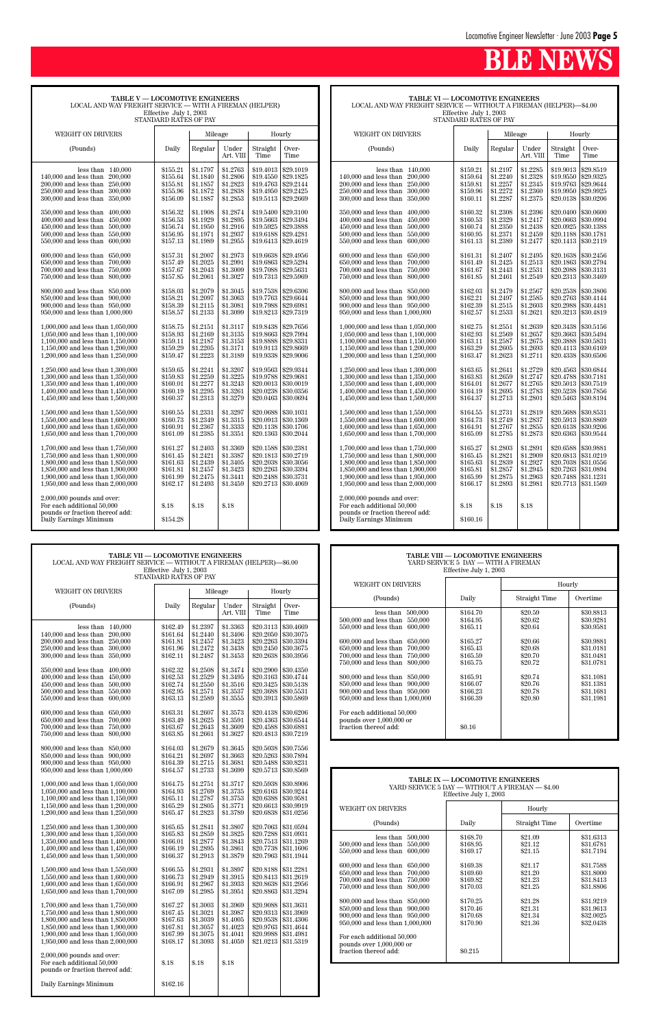| <b>TABLE V - LOCOMOTIVE ENGINEERS</b><br>LOCAL AND WAY FREIGHT SERVICE - WITH A FIREMAN (HELPER)<br>Effective July 1, 2003<br>STANDARD RATES OF PAY                                                                                                                                                                                                                                                                                                                                                                                                                                                                                                                                                                                                                                                                                                                                                                                                                                                                                                                                                                                                                                                                                                                                                                    |                                                                                                                                                                                                                                                                                                                                                                                                                                  |                                                                                                                                                                                                                                                                                                                                                                                                                                  |                                                                                                                                                                                                                                                                                                                                                                                                                                  |                                                                                                                                                                                                                                                                                                                                                                                                                                                                     |                                                                                                                                                                                                                                                                                                                                                                                                                                                                     |  |  |
|------------------------------------------------------------------------------------------------------------------------------------------------------------------------------------------------------------------------------------------------------------------------------------------------------------------------------------------------------------------------------------------------------------------------------------------------------------------------------------------------------------------------------------------------------------------------------------------------------------------------------------------------------------------------------------------------------------------------------------------------------------------------------------------------------------------------------------------------------------------------------------------------------------------------------------------------------------------------------------------------------------------------------------------------------------------------------------------------------------------------------------------------------------------------------------------------------------------------------------------------------------------------------------------------------------------------|----------------------------------------------------------------------------------------------------------------------------------------------------------------------------------------------------------------------------------------------------------------------------------------------------------------------------------------------------------------------------------------------------------------------------------|----------------------------------------------------------------------------------------------------------------------------------------------------------------------------------------------------------------------------------------------------------------------------------------------------------------------------------------------------------------------------------------------------------------------------------|----------------------------------------------------------------------------------------------------------------------------------------------------------------------------------------------------------------------------------------------------------------------------------------------------------------------------------------------------------------------------------------------------------------------------------|---------------------------------------------------------------------------------------------------------------------------------------------------------------------------------------------------------------------------------------------------------------------------------------------------------------------------------------------------------------------------------------------------------------------------------------------------------------------|---------------------------------------------------------------------------------------------------------------------------------------------------------------------------------------------------------------------------------------------------------------------------------------------------------------------------------------------------------------------------------------------------------------------------------------------------------------------|--|--|
| WEIGHT ON DRIVERS                                                                                                                                                                                                                                                                                                                                                                                                                                                                                                                                                                                                                                                                                                                                                                                                                                                                                                                                                                                                                                                                                                                                                                                                                                                                                                      |                                                                                                                                                                                                                                                                                                                                                                                                                                  | Mileage                                                                                                                                                                                                                                                                                                                                                                                                                          |                                                                                                                                                                                                                                                                                                                                                                                                                                  |                                                                                                                                                                                                                                                                                                                                                                                                                                                                     | Hourly                                                                                                                                                                                                                                                                                                                                                                                                                                                              |  |  |
| (Pounds)                                                                                                                                                                                                                                                                                                                                                                                                                                                                                                                                                                                                                                                                                                                                                                                                                                                                                                                                                                                                                                                                                                                                                                                                                                                                                                               | Daily                                                                                                                                                                                                                                                                                                                                                                                                                            | Regular                                                                                                                                                                                                                                                                                                                                                                                                                          | Under<br>Art. VIII                                                                                                                                                                                                                                                                                                                                                                                                               | Straight<br>Time                                                                                                                                                                                                                                                                                                                                                                                                                                                    | Over-<br>Time                                                                                                                                                                                                                                                                                                                                                                                                                                                       |  |  |
| 140,000<br>less than<br>$140,000$ and less than<br>200,000<br>200,000 and less than<br>250,000<br>$250,000$ and less than<br>300,000<br>$300,000$ and less than<br>350,000<br>350,000 and less than<br>400,000<br>400,000 and less than<br>450,000<br>450,000 and less than<br>500,000<br>$500,000$ and less than<br>550,000<br>$550,000$ and less than<br>600,000<br>600,000 and less than<br>650,000<br>650,000 and less than<br>700,000<br>700,000 and less than<br>750,000<br>750,000 and less than<br>800,000<br>800,000 and less than<br>850,000<br>850,000 and less than<br>900,000<br>900,000 and less than<br>950,000<br>950,000 and less than 1,000,000<br>1,000,000 and less than 1,050,000<br>1,050,000 and less than 1,100,000<br>1,100,000 and less than 1,150,000<br>1,150,000 and less than 1,200,000<br>1,200,000 and less than 1,250,000<br>1,250,000 and less than 1,300,000<br>1,300,000 and less than 1,350,000<br>1,350,000 and less than 1,400,000<br>1,400,000 and less than 1,450,000<br>1,450,000 and less than 1,500,000<br>1,500,000 and less than 1,550,000<br>1,550,000 and less than 1,600,000<br>1,600,000 and less than 1,650,000<br>1,650,000 and less than 1,700,000<br>1,700,000 and less than 1,750,000<br>1,750,000 and less than 1,800,000<br>1,800,000 and less than 1,850,000 | \$155.21<br>\$155.64<br>\$155.81<br>\$155.96<br>\$156.09<br>\$156.32<br>\$156.53<br>\$156.74<br>\$156.95<br>\$157.13<br>\$157.31<br>\$157.49<br>\$157.67<br>\$157.85<br>\$158.03<br>\$158.21<br>\$158.39<br>\$158.57<br>\$158.75<br>\$158.93<br>\$159.11<br>\$159.29<br>\$159.47<br>\$159.65<br>\$159.83<br>\$160.01<br>\$160.19<br>\$160.37<br>\$160.55<br>\$160.73<br>\$160.91<br>\$161.09<br>\$161.27<br>\$161.45<br>\$161.63 | \$1.1797<br>\$1.1840<br>\$1.1857<br>\$1.1872<br>\$1.1887<br>\$1.1908<br>\$1.1929<br>\$1.1950<br>\$1.1971<br>\$1.1989<br>\$1.2007<br>\$1.2025<br>\$1.2043<br>\$1.2061<br>\$1.2079<br>\$1.2097<br>\$1.2115<br>\$1.2133<br>\$1.2151<br>\$1.2169<br>\$1.2187<br>\$1.2205<br>\$1.2223<br>\$1.2241<br>\$1.2259<br>\$1.2277<br>\$1.2295<br>\$1.2313<br>\$1.2331<br>\$1.2349<br>\$1.2367<br>\$1.2385<br>\$1.2403<br>\$1.2421<br>\$1.2439 | \$1.2763<br>\$1.2806<br>\$1.2823<br>\$1.2838<br>\$1.2853<br>\$1.2874<br>\$1.2895<br>\$1.2916<br>\$1.2937<br>\$1.2955<br>\$1.2973<br>\$1.2991<br>\$1.3009<br>\$1.3027<br>\$1.3045<br>\$1.3063<br>\$1.3081<br>\$1.3099<br>\$1.3117<br>\$1.3135<br>\$1.3153<br>\$1.3171<br>\$1.3189<br>\$1.3207<br>\$1.3225<br>\$1.3243<br>\$1.3261<br>\$1.3279<br>\$1.3297<br>\$1.3315<br>\$1.3333<br>\$1.3351<br>\$1.3369<br>\$1.3387<br>\$1.3405 | \$19.4013<br>\$19.4550<br>\$19.4763<br>\$19.4950<br>\$19.5113<br>\$19.5400<br>\$19.5663<br>\$19.5925<br>\$19.6188<br>\$19.6413<br>\$19.6638<br>\$19.6863<br>\$19.7088<br>\$19.7313<br>\$19.7538<br>\$19.7763<br>\$19.7988<br>\$19.8213<br>\$19.8438<br>\$19.8663<br>\$19.8888<br>\$19.9113<br>\$19.9338<br>\$19.9563<br>\$19.9788<br>\$20.0013<br>\$20.0238<br>\$20.0463<br>\$20.0688<br>\$20.0913<br>\$20.1138<br>\$20.1363<br>\$20.1588<br>\$20.1813<br>\$20.2038 | \$29.1019<br>\$29.1825<br>\$29.2144<br>\$29.2425<br>\$29.2669<br>\$29.3100<br>\$29.3494<br>\$29.3888<br>\$29.4281<br>\$29.4619<br>\$29.4956<br>\$29.5294<br>\$29.5631<br>\$29.5969<br>\$29.6306<br>\$29.6644<br>\$29.6981<br>\$29.7319<br>\$29.7656<br>\$29.7994<br>\$29.8331<br>\$29.8669<br>\$29.9006<br>\$29.9344<br>\$29.9681<br>\$30.0019<br>\$30.0356<br>\$30.0694<br>\$30.1031<br>\$30.1369<br>\$30.1706<br>\$30.2044<br>\$30.2381<br>\$30.2719<br>\$30.3056 |  |  |
| 1,850,000 and less than 1,900,000<br>1,900,000 and less than 1,950,000<br>1,950,000 and less than 2,000,000                                                                                                                                                                                                                                                                                                                                                                                                                                                                                                                                                                                                                                                                                                                                                                                                                                                                                                                                                                                                                                                                                                                                                                                                            | \$161.81<br>\$161.99<br>\$162.17                                                                                                                                                                                                                                                                                                                                                                                                 | \$1.2457<br>\$1.2475<br>\$1.2493                                                                                                                                                                                                                                                                                                                                                                                                 | \$1.3423<br>\$1.3441<br>\$1.3459                                                                                                                                                                                                                                                                                                                                                                                                 | \$20.2263<br>\$20.2488<br>\$20.2713                                                                                                                                                                                                                                                                                                                                                                                                                                 | \$30.3394<br>\$30.3731<br>\$30.4069                                                                                                                                                                                                                                                                                                                                                                                                                                 |  |  |
| $2,000,000$ pounds and over:<br>For each additional 50,000<br>pounds or fraction thereof add:<br>Daily Earnings Minimum                                                                                                                                                                                                                                                                                                                                                                                                                                                                                                                                                                                                                                                                                                                                                                                                                                                                                                                                                                                                                                                                                                                                                                                                | \$.18<br>\$154.28                                                                                                                                                                                                                                                                                                                                                                                                                | \$.18                                                                                                                                                                                                                                                                                                                                                                                                                            | \$.18                                                                                                                                                                                                                                                                                                                                                                                                                            |                                                                                                                                                                                                                                                                                                                                                                                                                                                                     |                                                                                                                                                                                                                                                                                                                                                                                                                                                                     |  |  |

**TABLE VI — LOCOMOTIVE ENGINEERS** LOCAL AND WAY FREIGHT SERVICE — WITHOUT A FIREMAN (HELPER)—\$4.00 Effective July 1, 2003

| STANDARD RATES OF PAY                 |          |            |                    |                  |               |  |  |
|---------------------------------------|----------|------------|--------------------|------------------|---------------|--|--|
| WEIGHT ON DRIVERS                     |          | Mileage    |                    |                  | Hourly        |  |  |
| (Pounds)                              | Daily    | Regular    | Under<br>Art. VIII | Straight<br>Time | Over-<br>Time |  |  |
| 140,000<br>less than                  | \$159.21 | \$1.2197   | \$1.2285           | \$19.9013        | \$29.8519     |  |  |
| 200,000<br>140,000 and less than      | \$159.64 | \$1.2240   | \$1.2328           | \$19.9550        | \$29.9325     |  |  |
| 200,000 and less than<br>250,000      | \$159.81 | \$1.2257   | \$1.2345           | \$19.9763        | \$29.9644     |  |  |
| 250,000 and less than<br>300,000      | \$159.96 | \$1.2272   | \$1.2360           | \$19.9950        | \$29.9925     |  |  |
| 300,000 and less than<br>350,000      | \$160.11 | \$1.2287   | \$1.2375           | \$20.0138        | \$30,0206     |  |  |
|                                       |          |            |                    |                  |               |  |  |
| 350,000 and less than<br>400,000      | \$160.32 | \$1.2308   | \$1.2396           | \$20.0400        | \$30.0600     |  |  |
| 400,000 and less than<br>450,000      | \$160.53 | \$1.2329   | \$1.2417           | \$20.0663        | \$30.0994     |  |  |
| 450,000 and less than<br>500,000      | \$160.74 | \$1.2350   | \$1.2438           | \$20.0925        | \$30.1388     |  |  |
| 500,000 and less than<br>550,000      | \$160.95 | \$1.2371   | \$1.2459           | \$20.1188        | \$30.1781     |  |  |
| 550,000 and less than<br>600,000      | \$161.13 | \$1.2389   | \$1.2477           | \$20.1413        | \$30.2119     |  |  |
|                                       |          |            |                    |                  |               |  |  |
| 600,000 and less than<br>650,000      | \$161.31 | \$1.2407   | \$1.2495           | \$20.1638        | \$30.2456     |  |  |
| 650,000 and less than<br>700,000      | \$161.49 | \$1.2425   | \$1.2513           | \$20.1863        | \$30.2794     |  |  |
| 700,000 and less than<br>750,000      | \$161.67 | \$1.2443   | \$1.2531           | \$20.2088        | \$30.3131     |  |  |
| 750,000 and less than<br>800,000      | \$161.85 | \$1.2461   | \$1.2549           | \$20.2313        | \$30.3469     |  |  |
|                                       |          |            |                    |                  |               |  |  |
| 800,000 and less than 850,000         | \$162.03 | \$1.2479   | \$1.2567           | \$20.2538        | \$30.3806     |  |  |
| 850,000 and less than<br>900,000      | \$162.21 | \$1.2497   | \$1.2585           | \$20.2763        | \$30.4144     |  |  |
| 900,000 and less than 950,000         | \$162.39 | \$1.2515   | \$1.2603           | \$20.2988        | \$30.4481     |  |  |
| 950,000 and less than 1,000,000       | \$162.57 | \$1.2533   | \$1.2621           | \$20.3213        | \$30.4819     |  |  |
| 1,000,000 and less than 1,050,000     | \$162.75 | \$1.2551   | \$1.2639           | \$20.3438        | \$30.5156     |  |  |
| 1,050,000 and less than 1,100,000     | \$162.93 | \$1.2569   | \$1.2657           | \$20.3663        | \$30.5494     |  |  |
| $1,100,000$ and less than $1,150,000$ | \$163.11 | \$1.2587   | \$1.2675           | \$20.3888        | \$30.5831     |  |  |
| 1,150,000 and less than 1,200,000     | \$163.29 | \$1.2605   | \$1.2693           | \$20.4113        | \$30.6169     |  |  |
| 1,200,000 and less than 1,250,000     | \$163.47 | \$1.2623   | \$1.2711           | \$20.4338        | \$30.6506     |  |  |
|                                       |          |            |                    |                  |               |  |  |
| 1,250,000 and less than 1,300,000     | \$163.65 | \$1.2641   | \$1.2729           | \$20.4563        | \$30.6844     |  |  |
| 1,300,000 and less than 1,350,000     | \$163.83 | \$1.2659   | \$1.2747           | \$20.4788        | \$30.7181     |  |  |
| 1,350,000 and less than 1,400,000     | \$164.01 | \$1.2677   | \$1.2765           | \$20.5013        | \$30.7519     |  |  |
| 1,400,000 and less than 1,450,000     | \$164.19 | \$1.2695   | \$1.2783           | \$20.5238        | \$30.7856     |  |  |
| 1,450,000 and less than 1,500,000     | \$164.37 | \$1.2713   | \$1.2801           | \$20.5463        | \$30.8194     |  |  |
|                                       |          |            |                    |                  |               |  |  |
| 1,500,000 and less than 1,550,000     | \$164.55 | \$1.2731   | \$1.2819           | \$20.5688        | \$30.8531     |  |  |
| 1,550,000 and less than 1,600,000     | \$164.73 | \$1.2749   | \$1.2837           | \$20.5913        | \$30.8869     |  |  |
| 1,600,000 and less than 1,650,000     | \$164.91 | \$1.2767   | \$1.2855           | \$20.6138        | \$30.9206     |  |  |
| 1,650,000 and less than 1,700,000     | \$165.09 | \$1.2785   | \$1.2873           | \$20.6363        | \$30.9544     |  |  |
| 1,700,000 and less than 1,750,000     | \$165.27 | \$1.2803   | \$1.2891           | \$20.6588        | \$30.9881     |  |  |
| 1,750,000 and less than 1,800,000     | \$165.45 | \$1.2821   | \$1.2909           | \$20.6813        | \$31.0219     |  |  |
| 1,800,000 and less than 1,850,000     | \$165.63 | \$1.2839   | \$1.2927           | \$20.7038        | \$31.0556     |  |  |
| $1.050.000$ and lags than $1.000.000$ | 0.10501  | $0 + 0057$ | 0.10015            | <b>ADO 7009</b>  | 001.0001      |  |  |

| 1,850,000 and less than 1,900,000<br>1,900,000 and less than 1,950,000<br>1,950,000 and less than 2,000,000           | \$165.81<br>\$165.99<br>\$166.17 | \$1.2857<br>\$1.2875<br>\$1.2893 | \$1.2945<br>\$1.2963<br>\$1.2981 | \$20.7263 \\$31.0894<br>\$20.7488 \\$31.1231<br>\$20.7713 \\$31.1569 |  |
|-----------------------------------------------------------------------------------------------------------------------|----------------------------------|----------------------------------|----------------------------------|----------------------------------------------------------------------|--|
| 2,000,000 pounds and over:<br>For each additional 50.000<br>pounds or fraction thereof add:<br>Daily Earnings Minimum | \$.18<br>\$160.16                | \$.18                            | \$.18                            |                                                                      |  |

| <b>TABLE VII - LOCOMOTIVE ENGINEERS</b><br>LOCAL AND WAY FREIGHT SERVICE — WITHOUT A FIREMAN (HELPER)—\$6.00<br>Effective July 1, 2003<br>STANDARD RATES OF PAY                       |                                                            |                                                          |                                                          |                                          | <b>TABLE VIII - LOCOMOTIVE ENGINEERS</b><br>YARD SERVICE 5 DAY - WITH A FIREMAN<br>Effective July 1, 2003 |                                                                                                                     |                                                                                                                                                                  |                                              |                                          |                                                  |
|---------------------------------------------------------------------------------------------------------------------------------------------------------------------------------------|------------------------------------------------------------|----------------------------------------------------------|----------------------------------------------------------|------------------------------------------|-----------------------------------------------------------------------------------------------------------|---------------------------------------------------------------------------------------------------------------------|------------------------------------------------------------------------------------------------------------------------------------------------------------------|----------------------------------------------|------------------------------------------|--------------------------------------------------|
|                                                                                                                                                                                       |                                                            |                                                          |                                                          |                                          |                                                                                                           | WEIGHT ON DRIVERS                                                                                                   |                                                                                                                                                                  |                                              | Hourly                                   |                                                  |
| WEIGHT ON DRIVERS                                                                                                                                                                     |                                                            | Mileage                                                  |                                                          |                                          | Hourly                                                                                                    |                                                                                                                     | (Pounds)                                                                                                                                                         | Daily                                        | Straight Time                            | Overtime                                         |
| (Pounds)                                                                                                                                                                              | Daily                                                      | Regular                                                  | Under<br>Art. VIII                                       | Straight<br>Time                         | Over-<br>Time                                                                                             |                                                                                                                     | less than $500,000$<br>500,000 and less than 550,000                                                                                                             | \$164.70<br>\$164.95                         | \$20.59<br>\$20.62                       | \$30.8813<br>\$30.9281                           |
| less than $140,000$<br>200,000<br>$140,000$ and less than<br>200,000 and less than 250,000                                                                                            | \$162.49<br>\$161.64<br>\$161.81                           | \$1.2397<br>\$1.2440<br>\$1.2457                         | \$1.3363<br>\$1.3406<br>\$1.3423                         |                                          | $$20.3113 \;   \; $30.4669$<br>$$20.2050 \;   \; $30.3075$<br>$$20.2263$ \s30.3394                        |                                                                                                                     | 550,000 and less than 600,000<br>600,000 and less than 650,000                                                                                                   | \$165.11<br>\$165.27                         | \$20.64<br>\$20.66                       | \$30.9581<br>\$30.9881                           |
| 250,000 and less than 300,000<br>300,000 and less than 350,000                                                                                                                        | \$161.96<br>\$162.11                                       | \$1.2472<br>\$1.2487                                     | \$1.3438<br>\$1.3453                                     | \$20.2450                                | \$30.3675<br>$$20.2638$ \s30.3956                                                                         |                                                                                                                     | 650,000 and less than 700,000<br>700,000 and less than 750,000<br>750,000 and less than 800,000                                                                  | \$165.43<br>\$165.59<br>\$165.75             | \$20.68<br>\$20.70<br>\$20.72            | \$31.0181<br>\$31.0481<br>\$31.0781              |
| 350,000 and less than 400,000<br>400,000 and less than 450,000<br>500,000<br>$450,000$ and less than<br>500,000 and less than 550,000                                                 | \$162.32<br>\$162.53<br>\$162.74<br>\$162.95               | \$1.2508<br>\$1.2529<br>\$1.2550<br>\$1.2571             | \$1.3474<br>\$1.3495<br>\$1.3516<br>\$1.3537             | \$20.3425<br>$$20.3688 \;   \; $30.5531$ | $$20.2900 \;   \; $30.4350$<br>$$20.3163$ \\$30.4744<br>\$30.5138                                         |                                                                                                                     | 800,000 and less than 850,000<br>850,000 and less than 900,000<br>900,000 and less than 950,000                                                                  | \$165.91<br>\$166.07<br>\$166.23             | \$20.74<br>\$20.76<br>\$20.78            | \$31.1081<br>\$31.1381<br>\$31.1681              |
| 550,000 and less than 600,000                                                                                                                                                         | \$163.13                                                   | \$1.2589                                                 | \$1.3555                                                 |                                          | \$20.3913   \$30.5869                                                                                     |                                                                                                                     | 950,000 and less than 1,000,000                                                                                                                                  | \$166.39                                     | \$20.80                                  | \$31.1981                                        |
| 600,000 and less than 650,000<br>700,000<br>650,000 and less than<br>700,000 and less than 750,000<br>750,000 and less than 800,000                                                   | \$163.31<br>\$163.49<br>\$163.67<br>\$163.85               | \$1.2607<br>\$1.2625<br>\$1.2643<br>\$1.2661             | \$1.3573<br>\$1.3591<br>\$1.3609<br>\$1.3627             | $$20.4588$ \s30.6881                     | $$20.4138$ \s30.6206<br>$$20.4363 \;   \; $30.6544$<br>$$20.4813 \;   \; $30.7219$                        |                                                                                                                     | For each additional 50,000<br>pounds over $1,000,000$ or<br>fraction thereof add:                                                                                | \$0.16                                       |                                          |                                                  |
| 800,000 and less than 850,000<br>850,000 and less than 900,000<br>900,000 and less than 950,000<br>950,000 and less than 1,000,000                                                    | \$164.03<br>\$164.21<br>\$164.39<br>\$164.57               | \$1.2679<br>\$1.2697<br>\$1.2715<br>\$1.2733             | \$1.3645<br>\$1.3663<br>\$1.3681<br>\$1.3699             | \$20.5488 \$30.8231                      | $$20.5038$ \s30.7556<br>$$20.5263 \;   \; $30.7894$<br>$$20.5713 \;   \; $30.8569$                        |                                                                                                                     |                                                                                                                                                                  |                                              |                                          |                                                  |
| 1,000,000 and less than 1,050,000<br>1,050,000 and less than 1,100,000<br>1,100,000 and less than 1,150,000                                                                           | \$164.75<br>\$164.93<br>\$165.11                           | \$1.2751<br>\$1.2769<br>\$1.2787                         | \$1.3717<br>\$1.3735<br>\$1.3753                         | $$20.6388 \;   \; $30.9581$              | $$20.5938 \; \; $30.8906$<br>$$20.6163 \;   \; $30.9244$                                                  | <b>TABLE IX - LOCOMOTIVE ENGINEERS</b><br>YARD SERVICE 5 DAY - WITHOUT A FIREMAN - \$4.00<br>Effective July 1, 2003 |                                                                                                                                                                  |                                              |                                          |                                                  |
| 1,150,000 and less than 1,200,000<br>1,200,000 and less than 1,250,000                                                                                                                | \$165.29<br>\$165.47                                       | \$1.2805<br>\$1.2823                                     | \$1.3771<br>\$1.3789                                     |                                          | $$20.6613 \;   \; $30.9919$<br>$$20.6838 \mid $31.0256$                                                   |                                                                                                                     | WEIGHT ON DRIVERS                                                                                                                                                |                                              | Hourly                                   |                                                  |
| 1,250,000 and less than 1,300,000                                                                                                                                                     | \$165.65                                                   | \$1.2841                                                 | \$1.3807                                                 |                                          | $$20.7063 \;   \; $31.0594$                                                                               |                                                                                                                     | (Pounds)                                                                                                                                                         | Daily                                        | Straight Time                            | Overtime                                         |
| 1,300,000 and less than 1,350,000<br>1,350,000 and less than 1,400,000<br>1,400,000 and less than 1,450,000<br>1,450,000 and less than 1,500,000                                      | \$165.83<br>\$166.01<br>\$166.19<br>\$166.37               | \$1.2859<br>\$1.2877<br>\$1.2895<br>\$1.2913             | \$1.3825<br>\$1.3843<br>\$1.3861<br>\$1.3879             | \$20.7288   \$31.0931<br>\$20.7738       | \$20.7513 \$31.1269<br>\$31.1606<br>$$20.7963 \;   \; $31.1944$                                           |                                                                                                                     | less than $500,000$<br>500,000 and less than 550,000<br>550,000 and less than 600,000                                                                            | \$168.70<br>\$168.95<br>\$169.17             | \$21.09<br>\$21.12<br>\$21.15            | \$31.6313<br>\$31.6781<br>\$31.7194              |
| 1,500,000 and less than 1,550,000<br>1,550,000 and less than 1,600,000<br>1,600,000 and less than 1,650,000<br>1,650,000 and less than 1,700,000                                      | \$166.55<br>\$166.73<br>\$166.91<br>\$167.09               | \$1.2931<br>\$1.2949<br>\$1.2967<br>\$1.2985             | \$1.3897<br>\$1.3915<br>\$1.3933<br>\$1.3951             | \$20.8188 \$31.2281                      | $$20.8413 \;   \; $31.2619$<br>\$20.8638 \$31.2956<br>\$20.8863 \$31.3294                                 |                                                                                                                     | 600,000 and less than 650,000<br>$650,000$ and less than<br>700,000<br>700,000 and less than 750,000<br>750,000 and less than 800,000                            | \$169.38<br>\$169.60<br>\$169.82<br>\$170.03 | \$21.17<br>\$21.20<br>\$21.23<br>\$21.25 | \$31.7588<br>\$31.8000<br>\$31.8413<br>\$31.8806 |
| 1.700,000 and less than 1.750,000<br>1,750,000 and less than 1,800,000<br>1,800,000 and less than 1,850,000<br>1,850,000 and less than 1,900,000<br>1,900,000 and less than 1,950,000 | \$167.27<br>\$167.45<br>\$167.63<br>$\$167.81$<br>\$167.99 | \$1.3003<br>\$1.3021<br>\$1.3039<br>\$1.3057<br>\$1.3075 | \$1.3969<br>\$1.3987<br>\$1.4005<br>\$1.4023<br>\$1.4041 | \$20.9088<br>\$20.9988 \$31.4981         | \$31.3631<br>$$20.9313$ \\$31.3969<br>$$20.9538 \mid $31.4306$<br>\$20.9763 \$31.4644                     |                                                                                                                     | 800,000 and less than 850,000<br>850,000 and less than 900,000<br>900,000 and less than 950,000<br>950,000 and less than 1,000,000<br>For each additional 50,000 | \$170.25<br>\$170.46<br>\$170.68<br>\$170.90 | \$21.28<br>\$21.31<br>\$21.34<br>\$21.36 | \$31.9219<br>\$31.9613<br>\$32,0025<br>\$32.0438 |
| 1,950,000 and less than 2,000,000<br>$2,000,000$ pounds and over:<br>For each additional 50,000                                                                                       | \$168.17<br>\$.18                                          | \$1.3093<br>\$.18                                        | \$1.4059<br>\$.18                                        |                                          | $$21.0213 \mid $31.5319$                                                                                  |                                                                                                                     | pounds over 1,000,000 or<br>fraction thereof add:                                                                                                                | \$0.215                                      |                                          |                                                  |
| pounds or fraction thereof add:<br>Daily Earnings Minimum                                                                                                                             | \$162.16                                                   |                                                          |                                                          |                                          |                                                                                                           |                                                                                                                     |                                                                                                                                                                  |                                              |                                          |                                                  |

| TABLE VIII — LOCOMOTIVE ENGINEERS<br>YARD SERVICE 5 DAY — WITH A FIREMAN<br>Effective July 1, 2003                                                                                                                                                                                                                                                                                                                                                                           |                                                                                                                                            |                                                                                                                       |                                                                                                                                             |  |  |  |  |  |
|------------------------------------------------------------------------------------------------------------------------------------------------------------------------------------------------------------------------------------------------------------------------------------------------------------------------------------------------------------------------------------------------------------------------------------------------------------------------------|--------------------------------------------------------------------------------------------------------------------------------------------|-----------------------------------------------------------------------------------------------------------------------|---------------------------------------------------------------------------------------------------------------------------------------------|--|--|--|--|--|
| WEIGHT ON DRIVERS                                                                                                                                                                                                                                                                                                                                                                                                                                                            |                                                                                                                                            |                                                                                                                       | Hourly                                                                                                                                      |  |  |  |  |  |
| (Pounds)                                                                                                                                                                                                                                                                                                                                                                                                                                                                     | Daily                                                                                                                                      | Straight Time                                                                                                         | Overtime                                                                                                                                    |  |  |  |  |  |
| less than $500,000$<br>500,000 and less than<br>550,000<br>550,000 and less than<br>600,000<br>$600,000$ and less than<br>650,000<br>650,000 and less than<br>700,000<br>700,000 and less than<br>750,000<br>750,000 and less than<br>800,000<br>800,000 and less than<br>850,000<br>850,000 and less than<br>900,000<br>900,000 and less than 950,000<br>950,000 and less than 1,000,000<br>For each additional 50,000<br>pounds over 1,000,000 or<br>fraction thereof add: | \$164.70<br>\$164.95<br>\$165.11<br>\$165.27<br>\$165.43<br>\$165.59<br>\$165.75<br>\$165.91<br>\$166.07<br>\$166.23<br>\$166.39<br>\$0.16 | \$20.59<br>\$20.62<br>\$20.64<br>\$20.66<br>\$20.68<br>\$20.70<br>\$20.72<br>\$20.74<br>\$20.76<br>\$20.78<br>\$20.80 | \$30,8813<br>\$30.9281<br>\$30.9581<br>\$30.9881<br>\$31.0181<br>\$31.0481<br>\$31.0781<br>\$31.1081<br>\$31.1381<br>\$31.1681<br>\$31.1981 |  |  |  |  |  |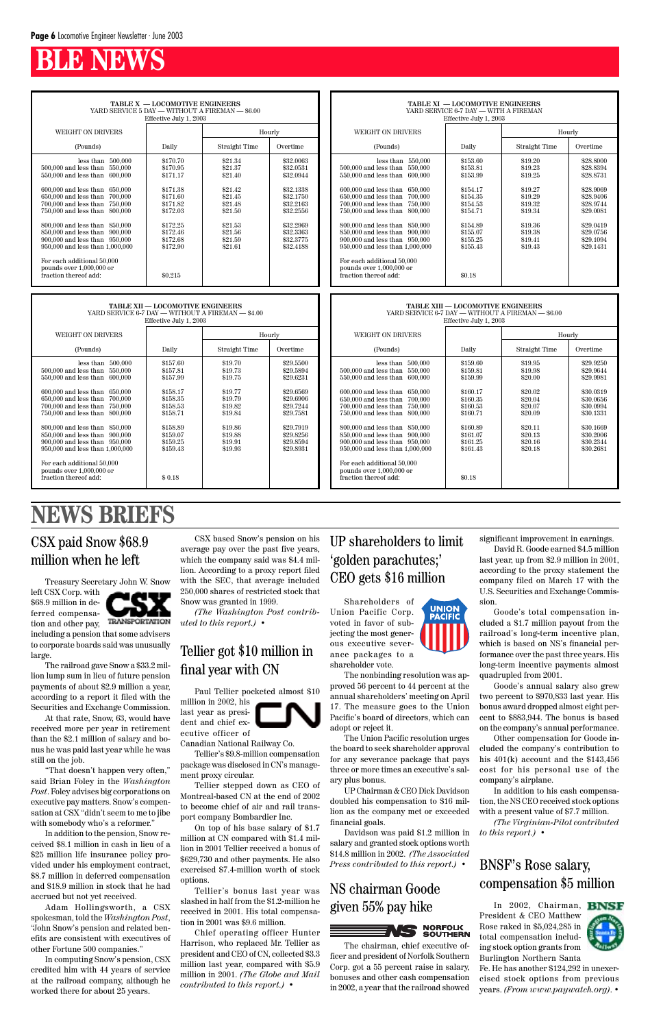#### UP shareholders to limit 'golden parachutes;' CEO gets \$16 million

**UNION<br>PACIFIC** 

#### **NEWS BRIEFS**

Shareholders of Union Pacific Corp. voted in favor of subjecting the most generous executive severance packages to a shareholder vote.

The nonbinding resolution was approved 56 percent to 44 percent at the annual shareholders' meeting on April 17. The measure goes to the Union Pacific's board of directors, which can adopt or reject it.

The Union Pacific resolution urges the board to seek shareholder approval for any severance package that pays three or more times an executive's salary plus bonus. UP Chairman & CEO Dick Davidson doubled his compensation to \$16 million as the company met or exceeded financial goals.

Davidson was paid \$1.2 million in salary and granted stock options worth \$14.8 million in 2002. *(The Associated Press contributed to this report.)* •

#### CSX paid Snow \$68.9 million when he left

Treasury Secretary John W. Snow

left CSX Corp. with \$68.9 million in deferred compensation and other pay,



including a pension that some advisers to corporate boards said was unusually large.

The railroad gave Snow a \$33.2 million lump sum in lieu of future pension payments of about \$2.9 million a year, according to a report it filed with the Securities and Exchange Commission.

At that rate, Snow, 63, would have received more per year in retirement than the \$2.1 million of salary and bonus he was paid last year while he was

still on the job.

"That doesn't happen very often," said Brian Foley in the *Washington Post*. Foley advises big corporations on executive pay matters. Snow's compensation at CSX "didn't seem to me to jibe with somebody who's a reformer."

In addition to the pension, Snow received \$8.1 million in cash in lieu of a \$25 million life insurance policy provided under his employment contract, \$8.7 million in deferred compensation and \$18.9 million in stock that he had accrued but not yet received.

Adam Hollingsworth, a CSX spokesman, told the *Washington Post*, "John Snow's pension and related benefits are consistent with executives of other Fortune 500 companies."

In computing Snow's pension, CSX credited him with 44 years of service at the railroad company, although he worked there for about 25 years.

CSX based Snow's pension on his average pay over the past five years, which the company said was \$4.4 million. According to a proxy report filed with the SEC, that average included 250,000 shares of restricted stock that Snow was granted in 1999.

> In 2002, Chairman, BNSF President & CEO Matthew Rose raked in \$5,024,285 in total compensation including stock option grants from Burlington Northern Santa



*(The Washington Post contributed to this report.)* •

#### Tellier got \$10 million in final year with CN

Paul Tellier pocketed almost \$10

million in 2002, his last year as president and chief executive officer of

Canadian National Railway Co. Tellier's \$9.8-million compensation package was disclosed in CN's management proxy circular.

Tellier stepped down as CEO of Montreal-based CN at the end of 2002 to become chief of air and rail transport company Bombardier Inc.

On top of his base salary of \$1.7 million at CN compared with \$1.4 million in 2001 Tellier received a bonus of \$629,730 and other payments. He also exercised \$7.4-million worth of stock options.

Tellier's bonus last year was slashed in half from the \$1.2-million he received in 2001. His total compensation in 2001 was \$9.6 million.

Chief operating officer Hunter Harrison, who replaced Mr. Tellier as president and CEO of CN, collected \$3.3 million last year, compared with \$5.9 million in 2001. *(The Globe and Mail contributed to this report.)* •

#### NS chairman Goode given 55% pay hike



The chairman, chief executive officer and president of Norfolk Southern Corp. got a 55 percent raise in salary, bonuses and other cash compensation in 2002, a year that the railroad showed

#### **TABLE XIII — LOCOMOTIVE ENGINEERS** YARD SERVICE 6-7 DAY — WITHOUT A FIREMAN — \$6.00 Effective July 1, 2003 WEIGHT ON DRIVERS Hourly (Pounds) Daily Daily Straight Time Overtime less than 500,000 \$159.60 \$19.95 \$29.9250<br>less than 550,000 \$159.81 \$19.98 \$29.9644 500,000 and less than 550,000 \$159.81 \$19.98 \$29.9644<br>550,000 and less than 600,000 \$159.99 \$20.00 \$29.9981  $550,000$  and less than  $600,000$  $\left.\begin{matrix} 600,000 \ 600,000 \end{matrix}\right.$  and less than  $\left.\begin{matrix} 650,000 \ 700,000 \end{matrix}\right.$  \$160.17 \$20.02 \$20.04 \$30.0319 650,000 and less than 700,000 <br>
700,000 and less than 750,000 <br>
\$160.53 <br>
\$20.07 <br>
\$30.0994 700,000 and less than 750,000 \$160.53 \$20.07 \$30.0994<br>750,000 and less than 800,000 \$160.71 \$20.09 \$30.1331  $750,000$  and less than  $800,000$ 800,000 and less than 850,000 \$160.89 \$20.11 \$30.1669<br>850,000 and less than 900,000 \$161.07 \$20.13 \$30.2006 850,000 and less than 900,000 <br>900,000 and less than 950,000 <br>\$161.25 <br>\$20.16 \$30.2344 900,000 and less than 950,000 \$161.25 \$20.16 \$30.2344<br>950,000 and less than 1,000,000 \$161.43 \$20.18 \$20.18 \$30.2681  $950,000$  and less than  $1,000,000$ For each additional 50,000 pounds over 1,000,000 or fraction thereof add:  $$0.18$

significant improvement in earnings.

David R. Goode earned \$4.5 million last year, up from \$2.9 million in 2001, according to the proxy statement the company filed on March 17 with the U.S. Securities and Exchange Commission.

Goode's total compensation included a \$1.7 million payout from the railroad's long-term incentive plan, which is based on NS's financial performance over the past three years. His long-term incentive payments almost quadrupled from 2001.

Goode's annual salary also grew two percent to \$970,833 last year. His bonus award dropped almost eight percent to \$883,944. The bonus is based on the company's annual performance.

Other compensation for Goode included the company's contribution to

his 401(k) account and the \$143,456 cost for his personal use of the company's airplane.

In addition to his cash compensation, the NS CEO received stock options with a present value of \$7.7 million. *(The Virginian-Pilot contributed to this report.)* •

Fe. He has another \$124,292 in unexercised stock options from previous years. *(From www.paywatch.org)*. •

#### BNSF's Rose salary, compensation \$5 million

**TABLE X — LOCOMOTIVE ENGINEERS** YARD SERVICE 5 DAY — WITHOUT A FIREMAN — \$6.00

| Effective July 1, 2003                                                                                                                                                                                                                                                                                                                                                                    |                                                                                                                                  |                                                                                                                       |                                                                                                                                             |  |  |  |  |  |  |
|-------------------------------------------------------------------------------------------------------------------------------------------------------------------------------------------------------------------------------------------------------------------------------------------------------------------------------------------------------------------------------------------|----------------------------------------------------------------------------------------------------------------------------------|-----------------------------------------------------------------------------------------------------------------------|---------------------------------------------------------------------------------------------------------------------------------------------|--|--|--|--|--|--|
| WEIGHT ON DRIVERS                                                                                                                                                                                                                                                                                                                                                                         |                                                                                                                                  |                                                                                                                       | Hourly                                                                                                                                      |  |  |  |  |  |  |
| (Pounds)                                                                                                                                                                                                                                                                                                                                                                                  | Daily                                                                                                                            | Straight Time                                                                                                         | Overtime                                                                                                                                    |  |  |  |  |  |  |
| less than<br>500,000<br>500,000 and less than<br>550,000<br>$550,000$ and less than<br>600,000<br>$600,000$ and less than<br>650,000<br>650,000 and less than<br>700,000<br>700,000 and less than<br>750,000<br>750,000 and less than<br>800,000<br>800,000 and less than 850,000<br>850,000 and less than<br>900,000<br>900,000 and less than 950,000<br>950,000 and less than 1,000,000 | \$170.70<br>\$170.95<br>\$171.17<br>\$171.38<br>\$171.60<br>\$171.82<br>\$172.03<br>\$172.25<br>\$172.46<br>\$172.68<br>\$172.90 | \$21.34<br>\$21.37<br>\$21.40<br>\$21.42<br>\$21.45<br>\$21.48<br>\$21.50<br>\$21.53<br>\$21.56<br>\$21.59<br>\$21.61 | \$32,0063<br>\$32.0531<br>\$32.0944<br>\$32,1338<br>\$32,1750<br>\$32.2163<br>\$32.2556<br>\$32.2969<br>\$32.3363<br>\$32,3775<br>\$32.4188 |  |  |  |  |  |  |
| For each additional 50,000<br>pounds over 1,000,000 or<br>fraction thereof add:                                                                                                                                                                                                                                                                                                           | \$0.215                                                                                                                          |                                                                                                                       |                                                                                                                                             |  |  |  |  |  |  |

**TABLE XII — LOCOMOTIVE ENGINEERS** YARD SERVICE 6-7 DAY — WITHOUT A FIREMAN — \$4.00

| <b>TABLE XI - LOCOMOTIVE ENGINEERS</b><br>YARD SERVICE 6-7 DAY — WITH A FIREMAN<br>Effective July 1, 2003                                                                                                                                                                                                                                                                                                                                                           |                                                                                                                                            |                                                                                                                       |                                                                                                                                             |  |  |  |  |  |
|---------------------------------------------------------------------------------------------------------------------------------------------------------------------------------------------------------------------------------------------------------------------------------------------------------------------------------------------------------------------------------------------------------------------------------------------------------------------|--------------------------------------------------------------------------------------------------------------------------------------------|-----------------------------------------------------------------------------------------------------------------------|---------------------------------------------------------------------------------------------------------------------------------------------|--|--|--|--|--|
| <b>WEIGHT ON DRIVERS</b>                                                                                                                                                                                                                                                                                                                                                                                                                                            |                                                                                                                                            |                                                                                                                       | Hourly                                                                                                                                      |  |  |  |  |  |
| (Pounds)                                                                                                                                                                                                                                                                                                                                                                                                                                                            | Daily                                                                                                                                      | Straight Time                                                                                                         | Overtime                                                                                                                                    |  |  |  |  |  |
| less than $550,000$<br>$500,000$ and less than<br>550,000<br>600,000<br>550,000 and less than<br>600,000 and less than<br>650,000<br>650,000 and less than<br>700,000<br>700,000 and less than<br>750,000<br>750,000 and less than 800,000<br>800,000 and less than 850,000<br>850,000 and less than 900,000<br>900,000 and less than 950,000<br>950,000 and less than 1,000,000<br>For each additional 50,000<br>pounds over 1,000,000 or<br>fraction thereof add: | \$153.60<br>\$153.81<br>\$153.99<br>\$154.17<br>\$154.35<br>\$154.53<br>\$154.71<br>\$154.89<br>\$155.07<br>\$155.25<br>\$155.43<br>\$0.18 | \$19.20<br>\$19.23<br>\$19.25<br>\$19.27<br>\$19.29<br>\$19.32<br>\$19.34<br>\$19.36<br>\$19.38<br>\$19.41<br>\$19.43 | \$28,8000<br>\$28.8394<br>\$28.8731<br>\$28,9069<br>\$28.9406<br>\$28.9744<br>\$29.0081<br>\$29.0419<br>\$29.0756<br>\$29.1094<br>\$29.1431 |  |  |  |  |  |

| Effective July 1, 2003             |          |               |           |  |  |  |  |  |  |
|------------------------------------|----------|---------------|-----------|--|--|--|--|--|--|
| WEIGHT ON DRIVERS                  |          | Hourly        |           |  |  |  |  |  |  |
| (Pounds)                           | Daily    | Straight Time | Overtime  |  |  |  |  |  |  |
| 500,000<br>less than               | \$157.60 | \$19.70       | \$29,5500 |  |  |  |  |  |  |
| 550,000<br>500,000 and less than   | \$157.81 | \$19.73       | \$29.5894 |  |  |  |  |  |  |
| 550,000 and less than<br>600,000   | \$157.99 | \$19.75       | \$29.6231 |  |  |  |  |  |  |
|                                    |          |               |           |  |  |  |  |  |  |
| 600,000 and less than 650,000      | \$158.17 | \$19.77       | \$29.6569 |  |  |  |  |  |  |
| $650,000$ and less than<br>700,000 | \$158.35 | \$19.79       | \$29.6906 |  |  |  |  |  |  |
| 700,000 and less than<br>750,000   | \$158.53 | \$19.82       | \$29.7244 |  |  |  |  |  |  |
| 750,000 and less than<br>800,000   | \$158.71 | \$19.84       | \$29.7581 |  |  |  |  |  |  |
| 800,000 and less than 850,000      | \$158.89 | \$19.86       | \$29.7919 |  |  |  |  |  |  |
| 850,000 and less than<br>900,000   | \$159.07 | \$19.88       | \$29.8256 |  |  |  |  |  |  |
| 900,000 and less than 950,000      | \$159.25 | \$19.91       | \$29.8594 |  |  |  |  |  |  |
| 950,000 and less than 1,000,000    | \$159.43 | \$19.93       | \$29.8931 |  |  |  |  |  |  |
|                                    |          |               |           |  |  |  |  |  |  |
| For each additional 50,000         |          |               |           |  |  |  |  |  |  |
| pounds over 1,000,000 or           |          |               |           |  |  |  |  |  |  |
| fraction thereof add:              | \$0.18   |               |           |  |  |  |  |  |  |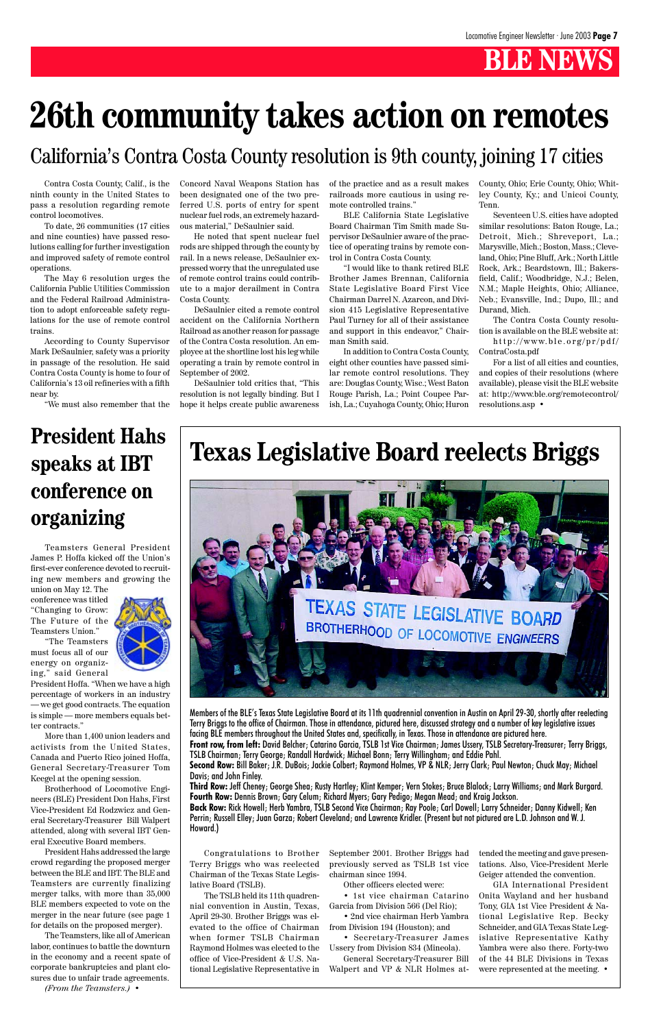Contra Costa County, Calif., is the ninth county in the United States to pass a resolution regarding remote control locomotives.

To date, 26 communities (17 cities and nine counties) have passed resolutions calling for further investigation and improved safety of remote control operations.

The May 6 resolution urges the California Public Utilities Commission and the Federal Railroad Administration to adopt enforceable safety regulations for the use of remote control trains.

According to County Supervisor Mark DeSaulnier, safety was a priority in passage of the resolution. He said Contra Costa County is home to four of California's 13 oil refineries with a fifth near by.

"We must also remember that the

Concord Naval Weapons Station has been designated one of the two preferred U.S. ports of entry for spent nuclear fuel rods, an extremely hazardous material," DeSaulnier said.

He noted that spent nuclear fuel rods are shipped through the county by rail. In a news release, DeSaulnier expressed worry that the unregulated use of remote control trains could contribute to a major derailment in Contra Costa County.

DeSaulnier cited a remote control accident on the California Northern Railroad as another reason for passage of the Contra Costa resolution. An employee at the shortline lost his leg while operating a train by remote control in September of 2002.

DeSaulnier told critics that, "This resolution is not legally binding. But I hope it helps create public awareness of the practice and as a result makes railroads more cautious in using remote controlled trains."

BLE California State Legislative Board Chairman Tim Smith made Supervisor DeSaulnier aware of the practice of operating trains by remote control in Contra Costa County.

"I would like to thank retired BLE Brother James Brennan, California State Legislative Board First Vice Chairman Darrel N. Azarcon, and Division 415 Legislative Representative Paul Turney for all of their assistance and support in this endeavor," Chairman Smith said.

In addition to Contra Costa County, eight other counties have passed similar remote control resolutions. They are: Douglas County, Wisc.; West Baton Rouge Parish, La.; Point Coupee Parish, La.; Cuyahoga County, Ohio; Huron

County, Ohio; Erie County, Ohio; Whitley County, Ky.; and Unicoi County, Tenn.

Seventeen U.S. cities have adopted similar resolutions: Baton Rouge, La.; Detroit, Mich.; Shreveport, La.; Marysville, Mich.; Boston, Mass.; Cleveland, Ohio; Pine Bluff, Ark.; North Little Rock, Ark.; Beardstown, Ill.; Bakersfield, Calif.; Woodbridge, N.J.; Belen, N.M.; Maple Heights, Ohio; Alliance, Neb.; Evansville, Ind.; Dupo, Ill.; and Durand, Mich.

The Contra Costa County resolution is available on the BLE website at: http://www.ble.org/pr/pdf/

ContraCosta.pdf For a list of all cities and counties,

and copies of their resolutions (where available), please visit the BLE website at: http://www.ble.org/remotecontrol/ resolutions.asp •

# **26th community takes action on remotes**

#### California's Contra Costa County resolution is 9th county, joining 17 cities

#### **Texas Legislative Board reelects Briggs**



Congratulations to Brother Terry Briggs who was reelected Chairman of the Texas State Legislative Board (TSLB).

The TSLB held its 11th quadrennial convention in Austin, Texas, April 29-30. Brother Briggs was elevated to the office of Chairman when former TSLB Chairman Raymond Holmes was elected to the office of Vice-President & U.S. National Legislative Representative in September 2001. Brother Briggs had previously served as TSLB 1st vice chairman since 1994.

Other officers elected were:

• 1st vice chairman Catarino Garcia from Division 566 (Del Rio);

• 2nd vice chairman Herb Yambra from Division 194 (Houston); and

• Secretary-Treasurer James Ussery from Division 834 (Mineola).

General Secretary-Treasurer Bill Walpert and VP & NLR Holmes at-

Members of the BLE's Texas State Legislative Board at its 11th quadrennial convention in Austin on April 29-30, shortly after reelecting Terry Briggs to the office of Chairman. Those in attendance, pictured here, discussed strategy and a number of key legislative issues facing BLE members throughout the United States and, specifically, in Texas. Those in attendance are pictured here. **Front row, from left:** David Belcher; Catarino Garcia, TSLB 1st Vice Chairman; James Ussery, TSLB Secretary-Treasurer; Terry Briggs, TSLB Chairman; Terry George; Randall Hardwick; Michael Bonn; Terry Willingham; and Eddie Pahl. **Second Row:** Bill Baker; J.R. DuBois; Jackie Colbert; Raymond Holmes, VP & NLR; Jerry Clark; Paul Newton; Chuck May; Michael Davis; and John Finley.

**Third Row:** Jeff Cheney; George Shea; Rusty Hartley; Klint Kemper; Vern Stokes; Bruce Blalock; Larry Williams; and Mark Burgard. **Fourth Row:** Dennis Brown; Gary Celum; Richard Myers; Gary Pedigo; Megan Mead; and Kraig Jackson.

**Back Row:** Rick Howell; Herb Yambra, TSLB Second Vice Chairman; Ray Poole; Carl Dowell; Larry Schneider; Danny Kidwell; Ken Perrin; Russell Elley; Juan Garza; Robert Cleveland; and Lawrence Kridler. (Present but not pictured are L.D. Johnson and W. J. Howard.)

> tended the meeting and gave presentations. Also, Vice-President Merle Geiger attended the convention.

> GIA International President Onita Wayland and her husband Tony, GIA 1st Vice President & National Legislative Rep. Becky Schneider, and GIA Texas State Legislative Representative Kathy Yambra were also there. Forty-two of the 44 BLE Divisions in Texas were represented at the meeting. •

#### **President Hahs speaks at IBT conference on organizing**

Teamsters General President James P. Hoffa kicked off the Union's first-ever conference devoted to recruiting new members and growing the union on May 12. The

conference was titled "Changing to Grow: The Future of the Teamsters Union."

"The Teamsters must focus all of our energy on organizing," said General



More than 1,400 union leaders and activists from the United States, Canada and Puerto Rico joined Hoffa, General Secretary-Treasurer Tom Keegel at the opening session.

Brotherhood of Locomotive Engineers (BLE) President Don Hahs, First Vice-President Ed Rodzwicz and General Secretary-Treasurer Bill Walpert attended, along with several IBT General Executive Board members.

President Hahs addressed the large crowd regarding the proposed merger between the BLE and IBT. The BLE and Teamsters are currently finalizing merger talks, with more than 35,000 BLE members expected to vote on the merger in the near future (see page 1 for details on the proposed merger).

The Teamsters, like all of American labor, continues to battle the downturn in the economy and a recent spate of corporate bankruptcies and plant closures due to unfair trade agreements.

*(From the Teamsters.) •*